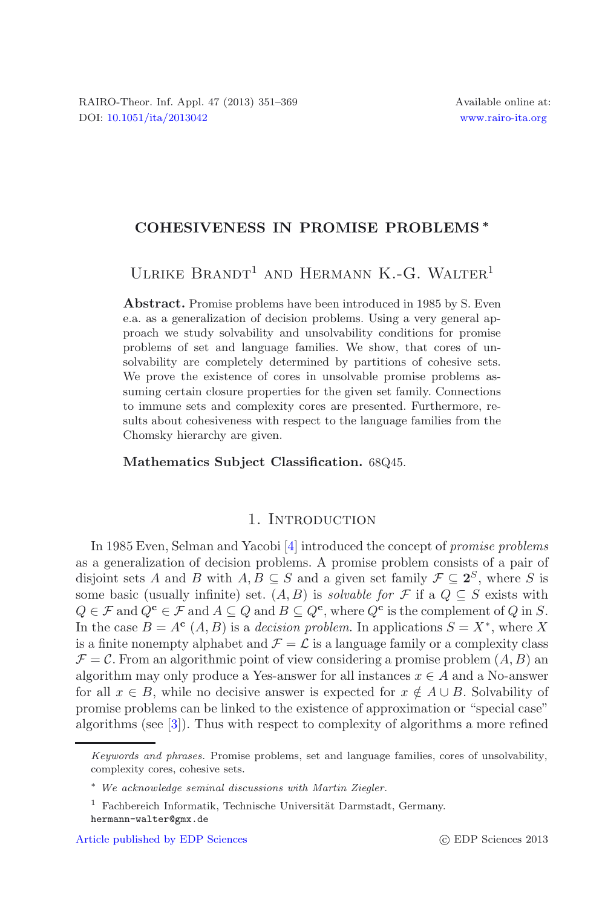## **COHESIVENESS IN PROMISE PROBLEMS** *∗*

ULRIKE BRANDT<sup>1</sup> AND HERMANN K.-G. WALTER<sup>1</sup>

**Abstract.** Promise problems have been introduced in 1985 by S. Even e.a. as a generalization of decision problems. Using a very general approach we study solvability and unsolvability conditions for promise problems of set and language families. We show, that cores of unsolvability are completely determined by partitions of cohesive sets. We prove the existence of cores in unsolvable promise problems assuming certain closure properties for the given set family. Connections to immune sets and complexity cores are presented. Furthermore, results about cohesiveness with respect to the language families from the Chomsky hierarchy are given.

#### **Mathematics Subject Classification.** 68Q45.

## 1. INTRODUCTION

In 1985 Even, Selman and Yacobi [\[4\]](#page-18-0) introduced the concept of *promise problems* as a generalization of decision problems. A promise problem consists of a pair of disjoint sets A and B with  $A, B \subseteq S$  and a given set family  $\mathcal{F} \subseteq 2^S$ , where S is some basic (usually infinite) set.  $(A, B)$  is *solvable for*  $\mathcal F$  if a  $Q \subseteq S$  exists with  $Q \in \mathcal{F}$  and  $Q^{\mathbf{c}} \in \mathcal{F}$  and  $A \subseteq Q$  and  $B \subseteq Q^{\mathbf{c}}$ , where  $Q^{\mathbf{c}}$  is the complement of Q in S. In the case  $B = A^c(A, B)$  is a *decision problem*. In applications  $S = X^*$ , where X is a finite nonempty alphabet and  $\mathcal{F} = \mathcal{L}$  is a language family or a complexity class  $\mathcal{F} = \mathcal{C}$ . From an algorithmic point of view considering a promise problem  $(A, B)$  and algorithm may only produce a Yes-answer for all instances  $x \in A$  and a No-answer for all  $x \in B$ , while no decisive answer is expected for  $x \notin A \cup B$ . Solvability of promise problems can be linked to the existence of approximation or "special case" algorithms (see [\[3](#page-18-1)]). Thus with respect to complexity of algorithms a more refined

Keywords and phrases. Promise problems, set and language families, cores of unsolvability, complexity cores, cohesive sets.

<sup>∗</sup> We acknowledge seminal discussions with Martin Ziegler.

 $1$  Fachbereich Informatik, Technische Universität Darmstadt, Germany. hermann-walter@gmx.de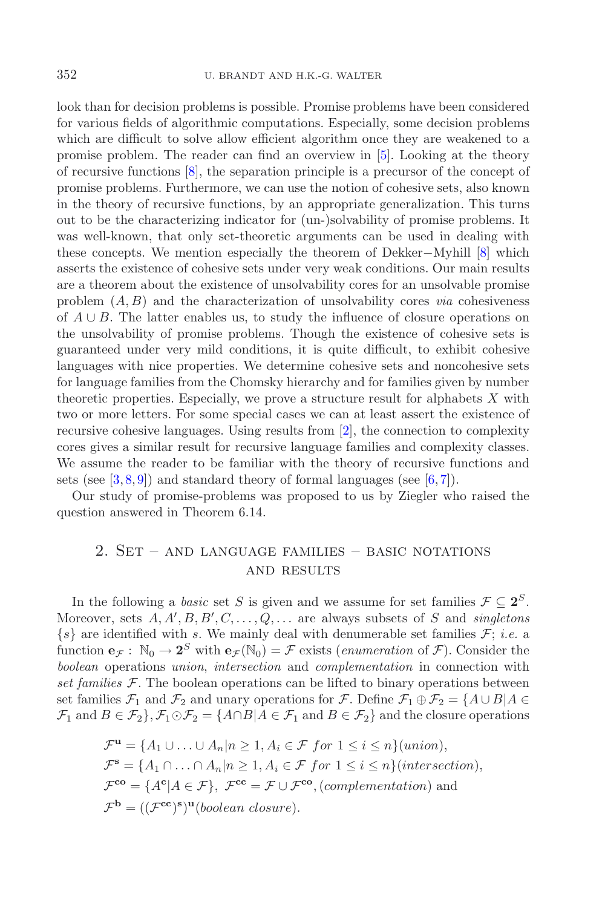look than for decision problems is possible. Promise problems have been considered for various fields of algorithmic computations. Especially, some decision problems which are difficult to solve allow efficient algorithm once they are weakened to a promise problem. The reader can find an overview in [\[5\]](#page-18-2). Looking at the theory of recursive functions [\[8](#page-18-3)], the separation principle is a precursor of the concept of promise problems. Furthermore, we can use the notion of cohesive sets, also known in the theory of recursive functions, by an appropriate generalization. This turns out to be the characterizing indicator for (un-)solvability of promise problems. It was well-known, that only set-theoretic arguments can be used in dealing with these concepts. We mention especially the theorem of Dekker−Myhill [\[8\]](#page-18-3) which asserts the existence of cohesive sets under very weak conditions. Our main results are a theorem about the existence of unsolvability cores for an unsolvable promise problem (A, B) and the characterization of unsolvability cores *via* cohesiveness of  $A \cup B$ . The latter enables us, to study the influence of closure operations on the unsolvability of promise problems. Though the existence of cohesive sets is guaranteed under very mild conditions, it is quite difficult, to exhibit cohesive languages with nice properties. We determine cohesive sets and noncohesive sets for language families from the Chomsky hierarchy and for families given by number theoretic properties. Especially, we prove a structure result for alphabets X with two or more letters. For some special cases we can at least assert the existence of recursive cohesive languages. Using results from [\[2\]](#page-18-4), the connection to complexity cores gives a similar result for recursive language families and complexity classes. We assume the reader to be familiar with the theory of recursive functions and sets (see  $[3,8,9]$  $[3,8,9]$  $[3,8,9]$ ) and standard theory of formal languages (see  $[6,7]$  $[6,7]$ ).

Our study of promise-problems was proposed to us by Ziegler who raised the question answered in Theorem 6.14.

# 2. Set – and language families – basic notations and results

In the following a *basic* set S is given and we assume for set families  $\mathcal{F} \subseteq 2^S$ . Moreover, sets  $A, A', B, B', C, \ldots, Q, \ldots$  are always subsets of S and *singletons*  $\{s\}$  are identified with s. We mainly deal with denumerable set families  $\mathcal{F}$ ; *i.e.* a function  $e_{\mathcal{F}}$ :  $\mathbb{N}_0 \to 2^S$  with  $e_{\mathcal{F}}(\mathbb{N}_0) = \mathcal{F}$  exists (*enumeration* of  $\mathcal{F}$ ). Consider the *boolean* operations *union*, *intersection* and *complementation* in connection with *set families*  $F$ . The boolean operations can be lifted to binary operations between set families  $\mathcal{F}_1$  and  $\mathcal{F}_2$  and unary operations for  $\mathcal{F}$ . Define  $\mathcal{F}_1 \oplus \mathcal{F}_2 = \{A \cup B | A \in$  $\mathcal{F}_1$  and  $B \in \mathcal{F}_2$ ,  $\mathcal{F}_1 \odot \mathcal{F}_2 = \{A \cap B | A \in \mathcal{F}_1 \text{ and } B \in \mathcal{F}_2\}$  and the closure operations

$$
\mathcal{F}^{\mathbf{u}} = \{A_1 \cup \ldots \cup A_n | n \ge 1, A_i \in \mathcal{F} \text{ for } 1 \le i \le n\} (union),
$$
  

$$
\mathcal{F}^{\mathbf{s}} = \{A_1 \cap \ldots \cap A_n | n \ge 1, A_i \in \mathcal{F} \text{ for } 1 \le i \le n\} (intersection),
$$
  

$$
\mathcal{F}^{\mathbf{co}} = \{A^{\mathbf{c}} | A \in \mathcal{F}\}, \ \mathcal{F}^{\mathbf{cc}} = \mathcal{F} \cup \mathcal{F}^{\mathbf{co}}, (complementation) \text{ and}
$$
  

$$
\mathcal{F}^{\mathbf{b}} = ((\mathcal{F}^{\mathbf{cc}})^{\mathbf{s}})^{\mathbf{u}} (boolean \; closure).
$$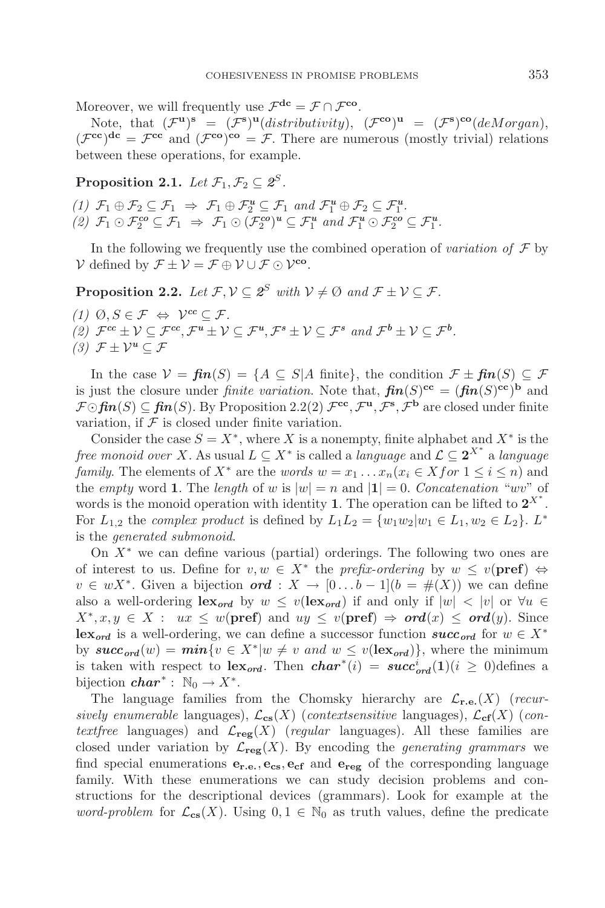Moreover, we will frequently use  $\mathcal{F}^{\text{dc}} = \mathcal{F} \cap \mathcal{F}^{\text{co}}$ .

Note, that  $(\mathcal{F}^{\mathbf{u}})^{\mathbf{s}} = (\mathcal{F}^{\mathbf{s}})^{\mathbf{u}}(distributivity)$ ,  $(\mathcal{F}^{\mathbf{co}})^{\mathbf{u}} = (\mathcal{F}^{\mathbf{s}})^{\mathbf{co}}(deMorgan)$ ,  $(\mathcal{F}^{\text{cc}})^{\text{dc}} = \mathcal{F}^{\text{cc}}$  and  $(\mathcal{F}^{\text{co}})^{\text{co}} = \mathcal{F}$ . There are numerous (mostly trivial) relations between these operations, for example.

**Proposition 2.1.** *Let*  $\mathcal{F}_1$ ,  $\mathcal{F}_2 \subset \mathcal{Z}^S$ *.* 

 $(1)$   $\mathcal{F}_1 \oplus \mathcal{F}_2 \subseteq \mathcal{F}_1 \Rightarrow \mathcal{F}_1 \oplus \mathcal{F}_2^u \subseteq \mathcal{F}_1$  and  $\mathcal{F}_1^u \oplus \mathcal{F}_2 \subseteq \mathcal{F}_1^u$ .  $(2)$   $\mathcal{F}_1 \odot \mathcal{F}_2^{co} \subseteq \mathcal{F}_1 \Rightarrow \mathcal{F}_1 \odot (\mathcal{F}_2^{co})^u \subseteq \mathcal{F}_1^u$  and  $\mathcal{F}_1^u \odot \mathcal{F}_2^{co} \subseteq \mathcal{F}_1^u$ .

In the following we frequently use the combined operation of *variation of*  $\mathcal F$  by  $\mathcal V$  defined by  $\mathcal F \pm \mathcal V = \mathcal F \oplus \mathcal V \cup \mathcal F \odot \mathcal V^{\rm co}$ .

**Proposition 2.2.** *Let*  $\mathcal{F}, \mathcal{V} \subseteq \mathcal{Z}^S$  *with*  $\mathcal{V} \neq \emptyset$  *and*  $\mathcal{F} \pm \mathcal{V} \subseteq \mathcal{F}$ *.* 

*(1)*  $\emptyset, S \in \mathcal{F}$  ⇔  $\mathcal{V}^{cc} \subset \mathcal{F}$ .  $(2)$   $\mathcal{F}^{cc} \pm \mathcal{V} \subseteq \mathcal{F}^{cc}, \mathcal{F}^u \pm \mathcal{V} \subseteq \mathcal{F}^u, \mathcal{F}^s \pm \mathcal{V} \subseteq \mathcal{F}^s$  and  $\mathcal{F}^b \pm \mathcal{V} \subseteq \mathcal{F}^b$ . *(3)*  $\mathcal{F}$   $\pm$   $\mathcal{V}^u$  ⊂  $\mathcal{F}$ 

In the case  $\mathcal{V} = \mathbf{f} \mathbf{n}(S) = \{ A \subseteq S | A \text{ finite} \}$ , the condition  $\mathcal{F} \pm \mathbf{f} \mathbf{n}(S) \subseteq \mathcal{F}$ is just the closure under *finite variation*. Note that,  $\mathbf{f}(\mathbf{n}(S)^{\mathbf{cc}}) = (\mathbf{f}(\mathbf{n}(S)^{\mathbf{cc}}))^{\mathbf{b}}$  and  $\mathcal{F} \odot \mathbf{f} \mathbf{n}(S) \subseteq \mathbf{f} \mathbf{i} \mathbf{n}(S)$ . By Proposition 2.2(2)  $\mathcal{F}^{\mathbf{cc}}, \mathcal{F}^{\mathbf{u}}, \mathcal{F}^{\mathbf{s}}, \mathcal{F}^{\mathbf{b}}$  are closed under finite variation, if  $\mathcal F$  is closed under finite variation.

Consider the case  $S = X^*$ , where X is a nonempty, finite alphabet and  $X^*$  is the *free monoid over X*. As usual  $L \subseteq X^*$  is called a *language* and  $\mathcal{L} \subseteq \textbf{2}^{X^*}$  a *language family*. The elements of  $X^*$  are the *words*  $w = x_1 \dots x_n (x_i \in X$  *for*  $1 \le i \le n)$  and the *empty* word **1**. The *length* of w is  $|w| = n$  and  $|1| = 0$ . *Concatenation* "wv" of words is the monoid operation with identity **1**. The operation can be lifted to  $2^{X^*}$ . For  $L_{1,2}$  the *complex product* is defined by  $L_1L_2 = \{w_1w_2|w_1 \in L_1, w_2 \in L_2\}$ .  $L^*$ is the *generated submonoid*.

On  $X^*$  we can define various (partial) orderings. The following two ones are of interest to us. Define for  $v, w \in X^*$  the *prefix-ordering* by  $w \le v(\text{pref}) \Leftrightarrow$  $v \in wX^*$ . Given a bijection *ord* :  $X \to [0...b-1](b = \#(X))$  we can define also a well-ordering  $\textbf{lex}_{\text{ord}}$  by  $w \leq v(\textbf{lex}_{\text{ord}})$  if and only if  $|w| < |v|$  or  $\forall u \in$  $X^*, x, y \in X : ux \leq w(\text{pref})$  and  $uy \leq v(\text{pref}) \Rightarrow \text{ord}(x) \leq \text{ord}(y)$ . Since **lex**<sub>ord</sub> is a well-ordering, we can define a successor function *succ<sub>ord</sub>* for  $w \in X^*$ by  $succ_{ord}(w) = min\{v \in X^*|w \neq v \text{ and } w \leq v(\text{lex}_{ord})\}$ , where the minimum is taken with respect to  $\text{lex}_{\text{ord}}$ . Then  $\text{char}^*(i) = \text{succ}_{\text{ord}}^i(1)$  ( $i \geq 0$ ) defines a bijection  $char^*$ :  $\mathbb{N}_0 \to X^*$ .

The language families from the Chomsky hierarchy are  $\mathcal{L}_{\mathbf{r},\mathbf{e},\mathbf{r}}(X)$  (*recursively enumerable* languages),  $\mathcal{L}_{cs}(X)$  (*contextsensitive* languages),  $\mathcal{L}_{cf}(X)$  (*contextfree* languages) and  $\mathcal{L}_{reg}(X)$  (*regular* languages). All these families are closed under variation by  $\mathcal{L}_{\text{reg}}(X)$ . By encoding the *generating grammars* we find special enumerations **er.e.**, **ecs**, **ecf** and **ereg** of the corresponding language family. With these enumerations we can study decision problems and constructions for the descriptional devices (grammars). Look for example at the *word-problem* for  $\mathcal{L}_{cs}(X)$ . Using  $0, 1 \in \mathbb{N}_0$  as truth values, define the predicate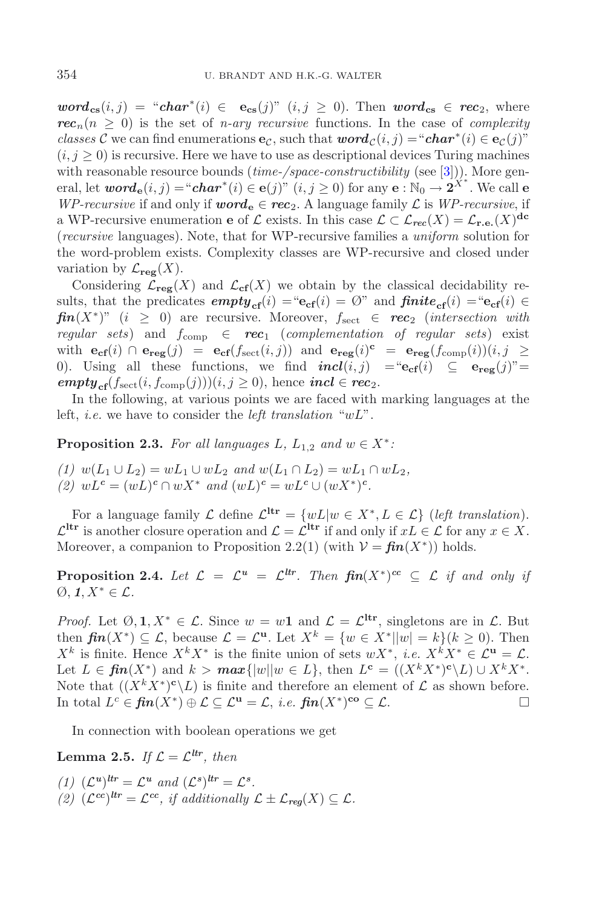$word_{cs}(i, j) = "char^*(i) \in e_{cs}(j)"$   $(i, j \ge 0)$ . Then  $word_{cs} \in rec_2$ , where  $rec_n(n \geq 0)$  is the set of *n*-ary *recursive* functions. In the case of *complexity classes* C we can find enumerations **e**<sub>C</sub>, such that  $word_{\mathcal{C}}(i, j) = "char^*(i) \in e_{\mathcal{C}}(j)$ "  $(i, j \geq 0)$  is recursive. Here we have to use as descriptional devices Turing machines with reasonable resource bounds (*time-/space-constructibility* (see [\[3\]](#page-18-1))). More general, let  $word_{\mathbf{e}}(i, j) = "char^*(i) \in \mathbf{e}(j)"~(i, j \ge 0)$  for any  $\mathbf{e}: \mathbb{N}_0 \to 2^{X^*}.$  We call  $\mathbf{e}$ *WP-recursive* if and only if *word*<sub>**e**</sub>  $\in$  *rec*<sub>2</sub>. A language family  $\mathcal{L}$  is *WP-recursive*, if a WP-recursive enumeration **e** of  $\mathcal{L}$  exists. In this case  $\mathcal{L} \subset \mathcal{L}_{rec}(X) = \mathcal{L}_{r.e.}(X)^{dc}$ (*recursive* languages). Note, that for WP-recursive families a *uniform* solution for the word-problem exists. Complexity classes are WP-recursive and closed under variation by  $\mathcal{L}_{\text{reg}}(X)$ .

Considering  $\mathcal{L}_{reg}(X)$  and  $\mathcal{L}_{cf}(X)$  we obtain by the classical decidability results, that the predicates  $empty_{cf}(i) = "e_{cf}(i) = \emptyset"$  and  $finite_{cf}(i) = "e_{cf}(i) \in$  $\mathbf{f}in(X^*)$ " (i  $\geq$  0) are recursive. Moreover,  $f_{\text{sect}} \in \mathbf{rec}_2$  (*intersection with regular sets*) and  $f_{\text{comp}} \in \text{rec}_1$  (*complementation of regular sets*) exist with  $\mathbf{e}_{\text{cf}}(i)$  ∩  $\mathbf{e}_{\text{reg}}(j) = \mathbf{e}_{\text{cf}}(f_{\text{sect}}(i,j))$  and  $\mathbf{e}_{\text{reg}}(i)$ <sup>c</sup> =  $\mathbf{e}_{\text{reg}}(f_{\text{comp}}(i))(i,j)$  ≥ 0). Using all these functions, we find  $\boldsymbol{incl}(i, j) = \text{``e}_{\boldsymbol{cf}}(i) \subseteq \boldsymbol{e}_{\boldsymbol{reg}}(j)$ "=  $\mathbf{empty}_{\text{cf}}(f_{\text{sect}}(i, f_{\text{comp}}(j)))(i, j \geq 0)$ , hence  $\mathbf{incl} \in \mathbf{rec}_2$ .

In the following, at various points we are faced with marking languages at the left, *i.e.* we have to consider the *left translation* "wL".

**Proposition 2.3.** *For all languages*  $L$ ,  $L_{1,2}$  *and*  $w \in X^*$ :

*(1)*  $w(L_1 \cup L_2) = wL_1 \cup wL_2$  *and*  $w(L_1 \cap L_2) = wL_1 \cap wL_2$ *, (2)*  $wL^c = (wL)^c ∩ wX^*$  *and*  $(wL)^c = wL^c ∪ (wX^*)^c$ *.* 

For a language family  $\mathcal L$  define  $\mathcal L^{\text{Itr}} = \{wL|w \in X^*, L \in \mathcal L\}$  (*left translation*).  $\mathcal{L}^{\text{Itr}}$  is another closure operation and  $\mathcal{L} = \mathcal{L}^{\text{Itr}}$  if and only if  $xL \in \mathcal{L}$  for any  $x \in X$ . Moreover, a companion to Proposition 2.2(1) (with  $\mathcal{V} = \mathbf{f} \mathbf{in}(X^*)$ ) holds.

**Proposition 2.4.** Let  $\mathcal{L} = \mathcal{L}^u = \mathcal{L}^{tr}$ . Then  $\mathbf{fin}(X^*)^{cc} \subset \mathcal{L}$  if and only if  $\emptyset$ , *1*, *X*<sup>\*</sup> ∈ *L*.

*Proof.* Let  $\emptyset, \mathbf{1}, X^* \in \mathcal{L}$ . Since  $w = w\mathbf{1}$  and  $\mathcal{L} = \mathcal{L}^{\text{Itr}}$ , singletons are in  $\mathcal{L}$ . But then  $\mathbf{f} \mathbf{n}(X^*) \subset \mathcal{L}$ , because  $\mathcal{L} = \mathcal{L}^{\mathbf{u}}$ . Let  $X^k = \{w \in X^* | |w| = k\}$   $(k \geq 0)$ . Then  $X^k$  is finite. Hence  $X^k X^*$  is the finite union of sets  $wX^*$ , *i.e.*  $X^k X^* \in \mathcal{L}^{\mathbf{u}} = \mathcal{L}$ . Let  $L \in \mathbf{fin}(X^*)$  and  $k > \max\{|w||w \in L\}$ , then  $L^{\mathbf{c}} = (\langle X^k X^* \rangle^{\mathbf{c}} \setminus L) \cup X^k X^*$ . Note that  $((X<sup>k</sup> X<sup>*</sup>)<sup>c</sup>\angle L)$  is finite and therefore an element of  $\mathcal L$  as shown before. In total  $L^c$  ∈  $\mathbf{fin}(X^*) \oplus \mathcal{L} \subseteq \mathcal{L}^{\mathbf{u}} = \mathcal{L}, i.e.$   $\mathbf{fin}(X^*)^{\mathbf{co}} \subseteq \mathcal{L}$ .  $\Box$ 

In connection with boolean operations we get

**Lemma 2.5.** *If*  $\mathcal{L} = \mathcal{L}^{ltr}$ , *then* 

(1)  $(\mathcal{L}^u)^{thr} = \mathcal{L}^u$  *and*  $(\mathcal{L}^s)^{thr} = \mathcal{L}^s$ *. (2)*  $(\mathcal{L}^{cc})^{ltr} = \mathcal{L}^{cc}$ , *if additionally*  $\mathcal{L} \pm \mathcal{L}_{\text{req}}(X) \subseteq \mathcal{L}$ .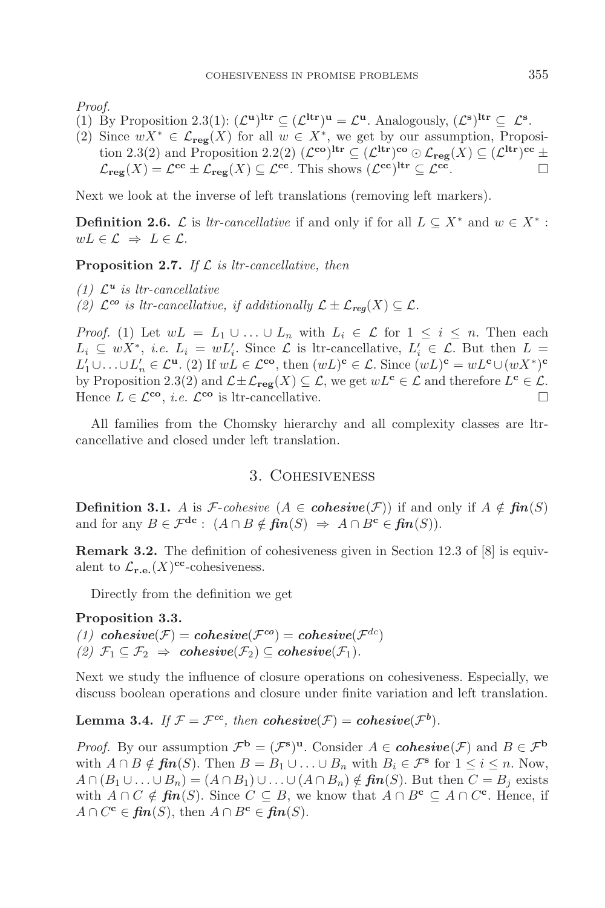*Proof.*

- (1) By Proposition 2.3(1):  $(\mathcal{L}^{\mathbf{u}})^{\mathbf{dr}} \subseteq (\mathcal{L}^{\mathbf{dr}})^{\mathbf{u}} = \mathcal{L}^{\mathbf{u}}$ . Analogously,  $(\mathcal{L}^{\mathbf{s}})^{\mathbf{dr}} \subseteq \mathcal{L}^{\mathbf{s}}$ .
- (2) Since  $wX^* \in \mathcal{L}_{reg}(X)$  for all  $w \in X^*$ , we get by our assumption, Proposition 2.3(2) and Proposition 2.2(2)  $(\mathcal{L}^{\mathbf{co}})^{\mathbf{ltr}} \subseteq (\mathcal{L}^{\mathbf{ltr}})^{\mathbf{co}} \odot \mathcal{L}_{\mathbf{reg}}(X) \subseteq (\mathcal{L}^{\mathbf{ltr}})^{\mathbf{cc}} \pm$  $\mathcal{L}_{reg}(X) = \mathcal{L}^{cc} \pm \mathcal{L}_{reg}(X) \subseteq \mathcal{L}^{cc}$ . This shows  $(\mathcal{L}^{cc})^{\text{ltr}} \subseteq \mathcal{L}^{cc}$ .

Next we look at the inverse of left translations (removing left markers).

**Definition 2.6.**  $\mathcal{L}$  is *ltr-cancellative* if and only if for all  $L \subseteq X^*$  and  $w \in X^*$ :  $wL \in \mathcal{L} \Rightarrow L \in \mathcal{L}.$ 

**Proposition 2.7.** *If* L *is ltr-cancellative, then*

*(1)* L*<sup>u</sup> is ltr-cancellative*

*(2)*  $\mathcal{L}^{co}$  *is ltr-cancellative, if additionally*  $\mathcal{L} \pm \mathcal{L}_{\text{req}}(X) \subseteq \mathcal{L}$ .

*Proof.* (1) Let  $wL = L_1 \cup ... \cup L_n$  with  $L_i \in \mathcal{L}$  for  $1 \leq i \leq n$ . Then each  $L_i \subseteq wX^*$ , *i.e.*  $L_i = wL'_i$ . Since  $\mathcal L$  is ltr-cancellative,  $L'_i \in \mathcal L$ . But then  $L =$  $L'_1 \cup \ldots \cup L'_n \in \mathcal{L}^{\mathbf{u}}$ . (2) If  $wL \in \mathcal{L}^{\mathbf{co}}$ , then  $(wL)^{\mathbf{c}} \in \mathcal{L}$ . Since  $(wL)^{\mathbf{c}} = wL^{\mathbf{c}} \cup (wX^*)^{\mathbf{c}}$ by Proposition 2.3(2) and  $\mathcal{L} \pm \mathcal{L}_{reg}(X) \subseteq \mathcal{L}$ , we get  $wL^{\mathbf{c}} \in \mathcal{L}$  and therefore  $L^{\mathbf{c}} \in \mathcal{L}$ . Hence  $L \in \mathcal{L}^{\mathbf{co}}$ , *i.e.*  $\mathcal{L}^{\mathbf{co}}$  is ltr-cancellative.

All families from the Chomsky hierarchy and all complexity classes are ltrcancellative and closed under left translation.

## 3. Cohesiveness

**Definition 3.1.** A is *F*-*cohesive* ( $A \in \mathbf{cohesive}(\mathcal{F})$ ) if and only if  $A \notin \mathbf{fin}(S)$ and for any  $B \in \mathcal{F}^{dc}$ :  $(A \cap B \notin \mathbf{fin}(S) \Rightarrow A \cap B^c \in \mathbf{fin}(S)).$ 

**Remark 3.2.** The definition of cohesiveness given in Section 12.3 of [8] is equivalent to  $\mathcal{L}_{\mathbf{r.e.}}(X)^{\mathbf{cc}}$ -cohesiveness.

Directly from the definition we get

## **Proposition 3.3.** *(1)*  $\mathbf{co} \mathbf{h} \mathbf{e} \mathbf{e} \mathbf{v} \mathbf{e} \mathbf{f}(\mathcal{F}) = \mathbf{co} \mathbf{h} \mathbf{e} \mathbf{e} \mathbf{v} \mathbf{e} \mathbf{e} \mathbf{f}(\mathcal{F}^{dc}) = \mathbf{co} \mathbf{h} \mathbf{e} \mathbf{e} \mathbf{v} \mathbf{e} (\mathcal{F}^{dc})$  $(2)$   $\mathcal{F}_1 \subseteq \mathcal{F}_2 \Rightarrow \text{cohesive}(\mathcal{F}_2) \subseteq \text{cohesive}(\mathcal{F}_1)$ .

Next we study the influence of closure operations on cohesiveness. Especially, we discuss boolean operations and closure under finite variation and left translation.

**Lemma 3.4.** *If*  $\mathcal{F} = \mathcal{F}^{cc}$ , *then*  $\mathbf{cohesive}(\mathcal{F}) = \mathbf{cohesive}(\mathcal{F}^b)$ .

*Proof.* By our assumption  $\mathcal{F}^{\mathbf{b}} = (\mathcal{F}^{\mathbf{s}})^{\mathbf{u}}$ . Consider  $A \in \mathbf{cohesive}(\mathcal{F})$  and  $B \in \mathcal{F}^{\mathbf{b}}$ with  $A \cap B \notin \mathbf{fin}(S)$ . Then  $B = B_1 \cup \ldots \cup B_n$  with  $B_i \in \mathcal{F}^s$  for  $1 \leq i \leq n$ . Now,  $A \cap (B_1 \cup \ldots \cup B_n) = (A \cap B_1) \cup \ldots \cup (A \cap B_n) \notin \mathbf{fin}(S)$ . But then  $C = B_i$  exists with  $A \cap C \notin \mathbf{fin}(S)$ . Since  $C \subseteq B$ , we know that  $A \cap B^{\mathbf{c}} \subseteq A \cap C^{\mathbf{c}}$ . Hence, if  $A \cap C^{\mathbf{c}} \in \mathbf{fin}(S)$ , then  $A \cap B^{\mathbf{c}} \in \mathbf{fin}(S)$ .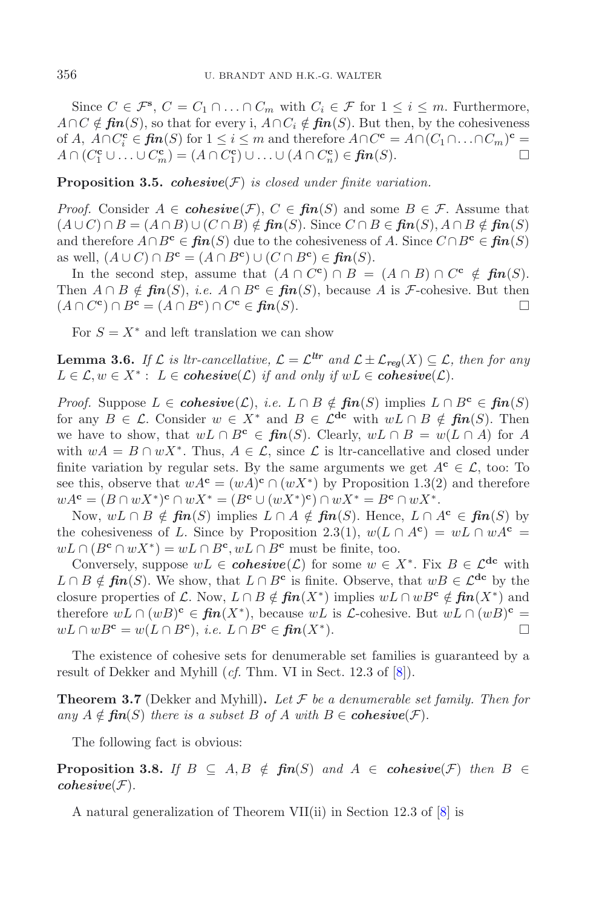Since  $C \in \mathcal{F}^s$ ,  $C = C_1 \cap \ldots \cap C_m$  with  $C_i \in \mathcal{F}$  for  $1 \leq i \leq m$ . Furthermore,  $A \cap C \notin \mathbf{fin}(S)$ , so that for every i,  $A \cap C_i \notin \mathbf{fin}(S)$ . But then, by the cohesiveness of A,  $A \cap C_i^{\mathbf{c}} \in \mathbf{fin}(S)$  for  $1 \leq i \leq m$  and therefore  $A \cap C^{\mathbf{c}} = A \cap (C_1 \cap \ldots \cap C_m)^{\mathbf{c}} =$  $A \cap (C_1^{\mathbf{c}} \cup ... \cup C_m^{\mathbf{c}}) = (A \cap C_1^{\mathbf{c}}) \cup ... \cup (A \cap C_n^{\mathbf{c}}) \in \mathbf{fin}(S).$ 

**Proposition 3.5.** *cohesive*(F) *is closed under finite variation.*

*Proof.* Consider  $A \in \mathbf{cohesive}(\mathcal{F})$ ,  $C \in \mathbf{fin}(S)$  and some  $B \in \mathcal{F}$ . Assume that  $(A \cup C) \cap B = (A \cap B) \cup (C \cap B) \notin \mathbf{fin}(S)$ . Since  $C \cap B \in \mathbf{fin}(S)$ ,  $A \cap B \notin \mathbf{fin}(S)$ and therefore  $A \cap B^c \in \mathbf{fin}(S)$  due to the cohesiveness of A. Since  $C \cap B^c \in \mathbf{fin}(S)$ as well,  $(A \cup C) \cap B^{\mathbf{c}} = (A \cap B^{\mathbf{c}}) \cup (C \cap B^{\mathbf{c}}) \in \mathbf{fin}(S)$ .

In the second step, assume that  $(A \cap C^c) \cap B = (A \cap B) \cap C^c \notin \mathbf{fin}(S)$ . Then  $A \cap B \notin \mathbf{fin}(S)$ , *i.e.*  $A \cap B^{\mathbf{c}} \in \mathbf{fin}(S)$ , because A is *F*-cohesive. But then  $(A \cap C^{\mathbf{c}}) \cap B^{\mathbf{c}} = (A \cap B^{\mathbf{c}}) \cap C^{\mathbf{c}} \in \mathbf{fin}(S).$ 

For  $S = X^*$  and left translation we can show

**Lemma 3.6.** *If*  $\mathcal{L}$  *is ltr-cancellative,*  $\mathcal{L} = \mathcal{L}^{tr}$  *and*  $\mathcal{L} \pm \mathcal{L}_{\text{req}}(X) \subseteq \mathcal{L}$ *, then for any*  $L ∈ \mathcal{L}, w ∈ X^* : L ∈ \mathbf{co} \mathbf{h} \mathbf{e} \mathbf{s} \mathbf{i} \mathbf{v} \mathbf{e}(\mathcal{L})$  *if and only if*  $wL ∈ \mathbf{co} \mathbf{h} \mathbf{e} \mathbf{s} \mathbf{i} \mathbf{v} \mathbf{e}(\mathcal{L})$ .

*Proof.* Suppose  $L \in \mathbf{cohesive}(\mathcal{L})$ , *i.e.*  $L \cap B \notin \mathbf{fin}(S)$  implies  $L \cap B^c \in \mathbf{fin}(S)$ for any  $B \in \mathcal{L}$ . Consider  $w \in X^*$  and  $B \in \mathcal{L}^{\text{dc}}$  with  $wL \cap B \notin \text{fin}(S)$ . Then we have to show, that  $wL \cap B^c \in \mathbf{fin}(S)$ . Clearly,  $wL \cap B = w(L \cap A)$  for A with  $wA = B \cap wX^*$ . Thus,  $A \in \mathcal{L}$ , since  $\mathcal{L}$  is ltr-cancellative and closed under finite variation by regular sets. By the same arguments we get  $A^c \in \mathcal{L}$ , too: To see this, observe that  $wA^c = (wA)^c \cap (wX^*)$  by Proposition 1.3(2) and therefore  $wA^{\mathbf{c}} = (B \cap wX^*)^{\mathbf{c}} \cap wX^* = (B^{\mathbf{c}} \cup (wX^*)^{\mathbf{c}}) \cap wX^* = B^{\mathbf{c}} \cap wX^*$ .

Now,  $wL \cap B$  ∉  $\mathbf{fin}(S)$  implies  $L \cap A$  ∉  $\mathbf{fin}(S)$ . Hence,  $L \cap A^c \in \mathbf{fin}(S)$  by the cohesiveness of L. Since by Proposition 2.3(1),  $w(L \cap A^c) = wL \cap wA^c$  $wL \cap (B^c \cap wX^*) = wL \cap B^c, wL \cap B^c$  must be finite, too.

Conversely, suppose  $wL \in \mathbf{cohesive}(\mathcal{L})$  for some  $w \in X^*$ . Fix  $B \in \mathcal{L}^{dc}$  with  $L ∩ B \notin \mathbf{fin}(S)$ . We show, that  $L ∩ B^c$  is finite. Observe, that  $wB ∈ \mathcal{L}^{dc}$  by the closure properties of L. Now,  $L \cap B \notin \mathbf{fin}(X^*)$  implies  $wL \cap wB^c \notin \mathbf{fin}(X^*)$  and therefore  $wL \cap (wB)^c \in \mathbf{fin}(X^*)$ , because  $wL$  is *L*-cohesive. But  $wL \cap (wB)^c =$  $wL \cap wB^{\mathbf{c}} = w(L \cap B^{\mathbf{c}}), \ i.e. \ L \cap B^{\mathbf{c}} \in \mathbf{fin}(X^*)$ .

The existence of cohesive sets for denumerable set families is guaranteed by a result of Dekker and Myhill (*cf.* Thm. VI in Sect. 12.3 of [\[8\]](#page-18-3)).

**Theorem 3.7** (Dekker and Myhill). Let  $\mathcal F$  be a denumerable set family. Then for *any*  $A \notin \textit{fin}(S)$  *there is a subset* B *of* A *with*  $B \in \textit{cohesive}(\mathcal{F})$ .

The following fact is obvious:

**Proposition 3.8.** *If*  $B \subseteq A, B \notin \textit{fin}(S)$  and  $A \in \textit{cohesive}(F)$  then  $B \in$  $cohesive(\mathcal{F}).$ 

A natural generalization of Theorem VII(ii) in Section 12.3 of [\[8\]](#page-18-3) is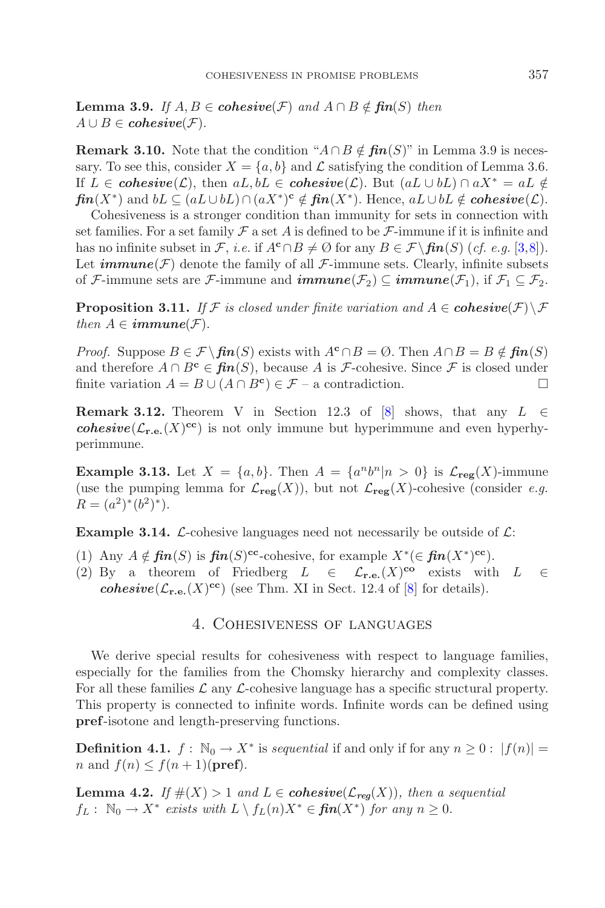**Lemma 3.9.** *If*  $A, B \in \mathbf{cohesive}(\mathcal{F})$  *and*  $A \cap B \notin \mathbf{fin}(S)$  *then*  $A \cup B \in \mathbf{co}hesive(\mathcal{F}).$ 

**Remark 3.10.** Note that the condition " $A \cap B \notin \mathbf{fin}(S)$ " in Lemma 3.9 is necessary. To see this, consider  $X = \{a, b\}$  and  $\mathcal L$  satisfying the condition of Lemma 3.6. If  $L \in \mathbf{cohesive}(\mathcal{L})$ , then  $aL, bL \in \mathbf{cohesive}(\mathcal{L})$ . But  $(aL \cup bL) \cap aX^* = aL \notin$ *fin*(X<sup>\*</sup>) and  $bL \subseteq (aL \cup bL) \cap (aX^*)^c \notin \mathit{fin}(X^*)$ . Hence,  $aL \cup bL \notin \mathit{cohesive}(\mathcal{L})$ .

Cohesiveness is a stronger condition than immunity for sets in connection with set families. For a set family  $\mathcal F$  a set A is defined to be  $\mathcal F$ -immune if it is infinite and has no infinite subset in F, *i.e.* if  $A^c \cap B \neq \emptyset$  for any  $B \in \mathcal{F}\backslash \mathbf{fin}(S)$  (*cf. e.g.* [\[3](#page-18-1)[,8\]](#page-18-3)). Let  $\mathbf{immune}(\mathcal{F})$  denote the family of all  $\mathcal{F}\text{-immune sets}$ . Clearly, infinite subsets of F-immune sets are F-immune and  $\mathbf{immune}(\mathcal{F}_2) \subseteq \mathbf{immune}(\mathcal{F}_1)$ , if  $\mathcal{F}_1 \subseteq \mathcal{F}_2$ .

**Proposition 3.11.** *If*  $\mathcal F$  *is closed under finite variation and*  $A \in \mathbf{cohesive}(\mathcal F) \setminus \mathcal F$ *then*  $A \in \mathbf{immune}(\mathcal{F})$ .

*Proof.* Suppose  $B \in \mathcal{F} \setminus \mathbf{fin}(S)$  exists with  $A^c \cap B = \emptyset$ . Then  $A \cap B = B \notin \mathbf{fin}(S)$ and therefore  $A \cap B^c \in \mathbf{fin}(S)$ , because A is *F*-cohesive. Since *F* is closed under finite variation  $A = B \cup (A \cap B^c) \in \mathcal{F}$  – a contradiction.

**Remark 3.12.** Theorem V in Section 12.3 of [\[8](#page-18-3)] shows, that any  $L \in$ *cohesive*( $\mathcal{L}_{\mathbf{r.e.}}(X)$ <sup>cc</sup>) is not only immune but hyperimmune and even hyperhyperimmune.

**Example 3.13.** Let  $X = \{a, b\}$ . Then  $A = \{a^n b^n | n > 0\}$  is  $\mathcal{L}_{\text{reg}}(X)$ -immune (use the pumping lemma for  $\mathcal{L}_{\text{reg}}(X)$ ), but not  $\mathcal{L}_{\text{reg}}(X)$ -cohesive (consider *e.g.*)  $R = (a^2)^*(b^2)^*$ .

**Example 3.14.** L-cohesive languages need not necessarily be outside of  $\mathcal{L}$ :

- (1) Any  $A \notin \mathbf{fin}(S)$  is  $\mathbf{fin}(S)^{\mathbf{cc}}$ -cohesive, for example  $X^*(\in \mathbf{fin}(X^*)^{\mathbf{cc}})$ .
- (2) By a theorem of Friedberg  $L \in \mathcal{L}_{\mathbf{r.e.}}(X)^{co}$  exists with  $L \in$ *cohesive*( $\mathcal{L}_{\mathbf{r.e.}}(X)^{cc}$ ) (see Thm. XI in Sect. 12.4 of [\[8](#page-18-3)] for details).

### 4. Cohesiveness of languages

We derive special results for cohesiveness with respect to language families, especially for the families from the Chomsky hierarchy and complexity classes. For all these families  $\mathcal L$  any  $\mathcal L$ -cohesive language has a specific structural property. This property is connected to infinite words. Infinite words can be defined using **pref**-isotone and length-preserving functions.

**Definition 4.1.**  $f : \mathbb{N}_0 \to X^*$  is *sequential* if and only if for any  $n \geq 0$  :  $|f(n)| =$ *n* and  $f(n) \leq f(n+1)$ (**pref**).

**Lemma 4.2.** *If*  $#(X) > 1$  *and*  $L \in \mathbf{cohesive}(\mathcal{L}_{\mathbf{req}}(X))$ *, then a sequential*  $f_L: \mathbb{N}_0 \to X^*$  *exists with*  $L \setminus f_L(n)X^* \in \mathbf{fin}(X^*)$  *for any*  $n \geq 0$ .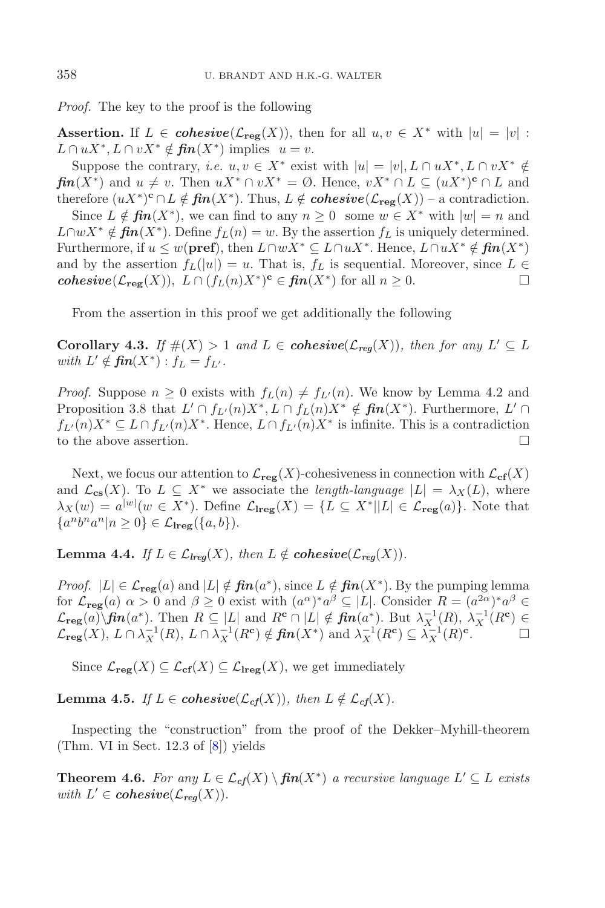*Proof.* The key to the proof is the following

**Assertion.** If  $L \in \mathbf{cohesive}(\mathcal{L}_{\text{reg}}(X))$ , then for all  $u, v \in X^*$  with  $|u| = |v|$ :  $L \cap uX^*, L \cap vX^* \notin \mathit{fin}(X^*)$  implies  $u = v$ .

Suppose the contrary, *i.e.*  $u, v \in X^*$  exist with  $|u| = |v|, L \cap uX^*, L \cap vX^* \notin$  $\mathbf{f}$ **in** $(X^*)$  and  $u \neq v$ . Then  $uX^* \cap vX^* = \emptyset$ . Hence,  $vX^* \cap L \subseteq (uX^*)^c \cap L$  and therefore  $(uX^*)^c \cap L \notin \mathbf{fin}(X^*)$ . Thus,  $L \notin \mathbf{cohesive}(\mathcal{L}_{\mathbf{reg}}(X))$  – a contradiction.

Since  $L \notin \mathbf{fin}(X^*)$ , we can find to any  $n \geq 0$  some  $w \in X^*$  with  $|w| = n$  and  $L \cap wX^* \notin \mathbf{fin}(X^*)$ . Define  $f_L(n) = w$ . By the assertion  $f_L$  is uniquely determined. Furthermore, if  $u \leq w(\textbf{pref})$ , then  $L \cap wX^* \subseteq L \cap uX^*$ . Hence,  $L \cap uX^* \notin \textbf{fin}(X^*)$ and by the assertion  $f_L(|u|) = u$ . That is,  $f_L$  is sequential. Moreover, since  $L \in$ *cohesive*( $\mathcal{L}_{reg}(X)$ ),  $L \cap (f_L(n)X^*)^c \in \mathbf{fin}(X^*)$  for all  $n \geq 0$ .  $\Box$ 

From the assertion in this proof we get additionally the following

**Corollary 4.3.** *If*  $\#(X) > 1$  *and*  $L \in \mathbf{cohesive}(\mathcal{L}_{\mathbf{req}}(X))$ *, then for any*  $L' \subseteq L$ *with*  $L' \notin \textit{fin}(X^*) : f_L = f_{L'}$ .

*Proof.* Suppose  $n \geq 0$  exists with  $f_L(n) \neq f_{L'}(n)$ . We know by Lemma 4.2 and Proposition 3.8 that  $L' \cap f_{L'}(n)X^*, L \cap f_L(n)X^* \notin \mathit{fin}(X^*)$ . Furthermore,  $L' \cap$  $f_{L'}(n)X^* \subseteq L \cap f_{L'}(n)X^*$ . Hence,  $L \cap f_{L'}(n)X^*$  is infinite. This is a contradiction to the above assertion.  $\Box$ 

Next, we focus our attention to  $\mathcal{L}_{reg}(X)$ -cohesiveness in connection with  $\mathcal{L}_{cf}(X)$ and  $\mathcal{L}_{cs}(X)$ . To  $L \subseteq X^*$  we associate the *length-language*  $|L| = \lambda_X(L)$ , where  $\lambda_X(w) = a^{|w|}(w \in X^*)$ . Define  $\mathcal{L}_{\text{reg}}(X) = \{L \subseteq X^* | |L| \in \mathcal{L}_{\text{reg}}(a)\}$ . Note that  ${a^n b^n a^n | n \geq 0} \in \mathcal{L}_{\text{tree}}({a, b}).$ 

**Lemma 4.4.** *If*  $L \in \mathcal{L}_{lreq}(X)$ *, then*  $L \notin \mathbf{cohesive}(\mathcal{L}_{req}(X))$ *.* 

*Proof.*  $|L| \in \mathcal{L}_{reg}(a)$  and  $|L| \notin \mathbf{fin}(a^*)$ , since  $L \notin \mathbf{fin}(X^*)$ . By the pumping lemma for  $\mathcal{L}_{reg}(a)$   $\alpha > 0$  and  $\beta \geq 0$  exist with  $(a^{\alpha})^* a^{\beta} \subseteq |L|$ . Consider  $R = (a^{2\alpha})^* a^{\beta} \in$  $\mathcal{L}_{reg}(a) \setminus \mathbf{fin}(a^*)$ . Then  $R \subseteq |L|$  and  $R^c \cap |L| \notin \mathbf{fin}(a^*)$ . But  $\lambda_X^{-1}(R)$ ,  $\lambda_X^{-1}(R^c) \in$  $\mathcal{L}_{reg}(X), L \cap \lambda_X^{-1}(R), L \cap \lambda_X^{-1}(R^c) \notin \textit{fin}(X^*)$  and  $\lambda_X^{-1}(R^c) \subseteq \lambda_X^{-1}(R)^c$ .  $\Box$ 

Since  $\mathcal{L}_{reg}(X) \subseteq \mathcal{L}_{cf}(X) \subseteq \mathcal{L}_{lreg}(X)$ , we get immediately

**Lemma 4.5.** *If*  $L \in \mathbf{cohesive}(\mathcal{L}_{cf}(X))$ *, then*  $L \notin \mathcal{L}_{cf}(X)$ *.* 

Inspecting the "construction" from the proof of the Dekker–Myhill-theorem (Thm. VI in Sect. 12.3 of [\[8](#page-18-3)]) yields

**Theorem 4.6.** *For any*  $L \in \mathcal{L}_{cf}(X) \setminus \mathbf{fin}(X^*)$  *a recursive language*  $L' \subseteq L$  *exists with*  $L' \in \mathbf{cohesive}(\mathcal{L}_{\mathbf{req}}(X)).$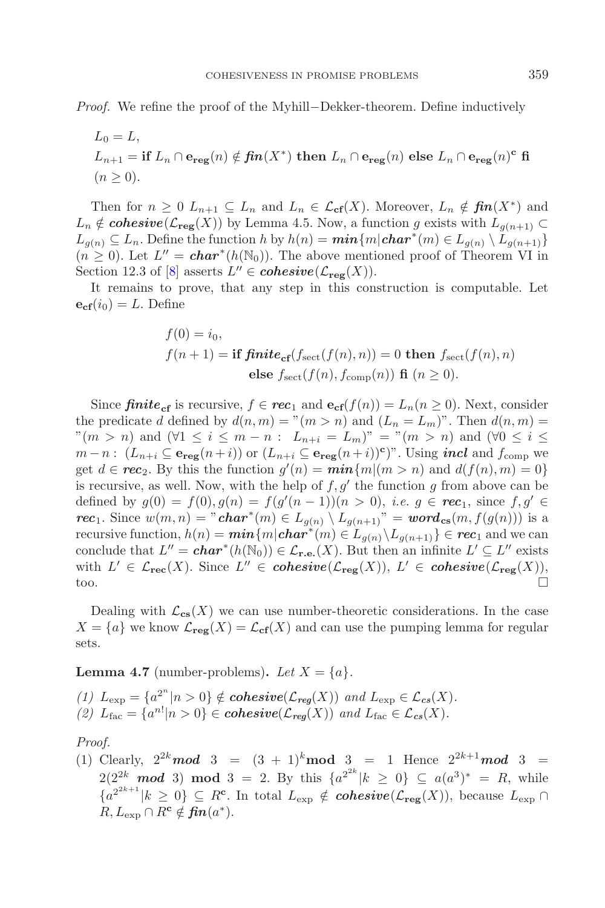*Proof.* We refine the proof of the Myhill–Dekker-theorem. Define inductively

$$
L_0 = L,
$$
  
\n
$$
L_{n+1} = \textbf{if } L_n \cap \mathbf{e}_{\textbf{reg}}(n) \notin \textbf{fin}(X^*) \textbf{ then } L_n \cap \mathbf{e}_{\textbf{reg}}(n) \textbf{ else } L_n \cap \mathbf{e}_{\textbf{reg}}(n)^c \textbf{ fi}
$$
  
\n
$$
(n \ge 0).
$$

Then for  $n \geq 0$   $L_{n+1} \subseteq L_n$  and  $L_n \in \mathcal{L}_{cf}(X)$ . Moreover,  $L_n \notin \mathit{fin}(X^*)$  and  $L_n \notin \mathbf{cohesive}(\mathcal{L}_{\mathbf{reg}}(X))$  by Lemma 4.5. Now, a function g exists with  $L_{q(n+1)} \subset$  $L_{g(n)} \subseteq L_n$ . Define the function h by  $h(n) = \min\{m|\mathbf{char}^*(m) \in L_{g(n)} \setminus L_{g(n+1)}\}$  $(n \geq 0)$ . Let  $L'' = char^*(h(\mathbb{N}_0))$ . The above mentioned proof of Theorem VI in Section 12.3 of [\[8\]](#page-18-3) asserts  $L'' \in \mathbf{cohesive}(\mathcal{L}_{\mathbf{reg}}(X)).$ 

It remains to prove, that any step in this construction is computable. Let  ${\bf e}_{\rm cf}(i_0) = L$ . Define

$$
f(0) = i_0,
$$
  
\n
$$
f(n+1) = \textbf{if finite}_{\textbf{cf}}(f_{\text{sect}}(f(n), n)) = 0 \textbf{ then } f_{\text{sect}}(f(n), n)
$$
  
\n
$$
\textbf{else } f_{\text{sect}}(f(n), f_{\text{comp}}(n)) \textbf{ fi } (n \ge 0).
$$

Since  $\text{finite}_{cf}$  is recursive,  $f \in \text{rec}_1$  and  $e_{cf}(f(n)) = L_n(n \ge 0)$ . Next, consider the predicate d defined by  $d(n, m) = "m > n)$  and  $(L_n = L_m)$ ". Then  $d(n, m) =$  $\mathbb{P}(m>n)$  and  $(\forall 1 \leq i \leq m-n: L_{n+i} = L_m)$ " = " $(m>n)$  and  $(\forall 0 \leq i \leq n)$ "  $m-n$ :  $(L_{n+i} \subseteq \mathbf{e}_{\text{reg}}(n+i))$  or  $(L_{n+i} \subseteq \mathbf{e}_{\text{reg}}(n+i))^c$ ". Using *incl* and  $f_{\text{comp}}$  we get  $d \in \text{rec}_2$ . By this the function  $g'(n) = \min\{m | (m > n) \text{ and } d(f(n), m) = 0\}$ is recursive, as well. Now, with the help of  $f, g'$  the function g from above can be defined by  $g(0) = f(0), g(n) = f(g'(n-1))(n > 0)$ , *i.e.*  $g \in \text{rec}_1$ , since  $f, g' \in$ *rec*<sub>1</sub>. Since  $w(m, n) = "char^*(m) \in L_{g(n)} \setminus L_{g(n+1)}" = word_{cs}(m, f(g(n)))$  is a recursive function,  $h(n) = \min\{m|\text{char}^*(m) \in L_{g(n)} \setminus L_{g(n+1)}\} \in \text{rec}_1$  and we can conclude that  $L'' = \mathbf{char}^*(h(\mathbb{N}_0)) \in \mathcal{L}_{\mathbf{r.e.}}(X)$ . But then an infinite  $L' \subseteq L''$  exists with  $L' \in \mathcal{L}_{\mathbf{rec}}(X)$ . Since  $L'' \in \mathbf{cohesive}(\mathcal{L}_{\mathbf{reg}}(X)), L' \in \mathbf{cohesive}(\mathcal{L}_{\mathbf{reg}}(X)),$ too.

Dealing with  $\mathcal{L}_{\text{cs}}(X)$  we can use number-theoretic considerations. In the case  $X = \{a\}$  we know  $\mathcal{L}_{reg}(X) = \mathcal{L}_{cf}(X)$  and can use the pumping lemma for regular sets.

**Lemma 4.7** (number-problems). Let  $X = \{a\}$ .

*(1)*  $L_{\text{exp}} = \{a^{2^n} | n > 0\} \notin \text{cohesive}(\mathcal{L}_{\text{reg}}(X)) \text{ and } L_{\text{exp}} \in \mathcal{L}_{\text{cs}}(X).$ (2)  $L_{\text{fac}} = \{a^{n!}|n>0\} \in \text{cohesive}(\mathcal{L}_{\text{reg}}(X))$  and  $L_{\text{fac}} \in \mathcal{L}_{\text{cs}}(X)$ .

*Proof.*

(1) Clearly,  $2^{2k} \mod 3 = (3 + 1)^k \mod 3 = 1$  Hence  $2^{2k+1} \mod 3 =$ 2(2<sup>2k</sup> **mod** 3) **mod** 3 = 2. By this  $\{a^{2^{2k}}|k \ge 0\}$  ⊆  $a(a^3)^* = R$ , while  ${a^{2^{2k+1}} | k \geq 0} \subseteq R^{\mathbf{c}}$ . In total  $L_{\text{exp}} \notin \text{cohesive}(\mathcal{L}_{\text{reg}}(X))$ , because  $L_{\text{exp}} \cap$  $R, L_{\text{exp}} \cap R^{\text{c}} \notin \mathbf{fin}(a^*).$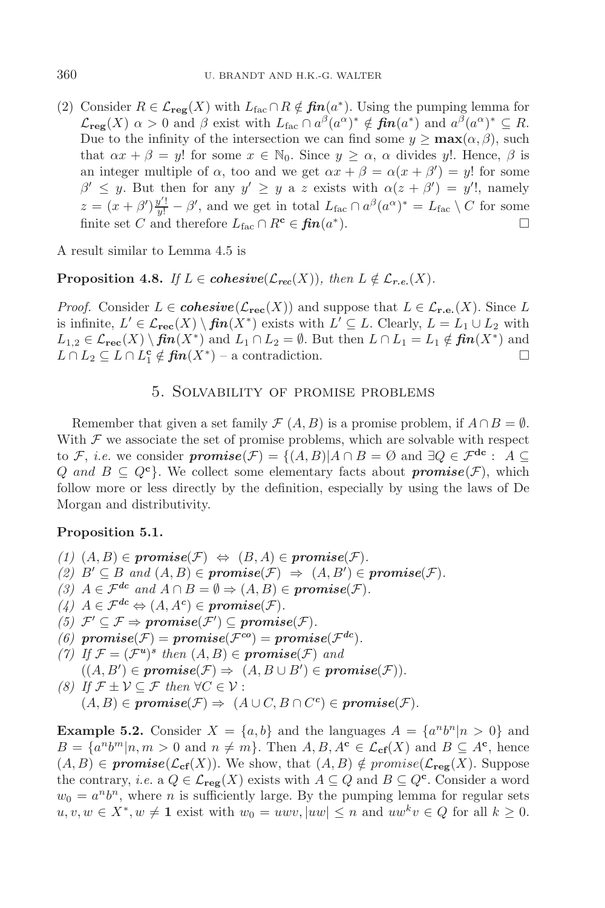(2) Consider  $R \in \mathcal{L}_{reg}(X)$  with  $L_{fac} \cap R \notin \mathbf{fin}(a^*)$ . Using the pumping lemma for  $\mathcal{L}_{\text{reg}}(X)$   $\alpha > 0$  and  $\beta$  exist with  $L_{\text{fac}} \cap a^{\beta}(a^{\alpha})^* \notin \text{fin}(a^*)$  and  $a^{\beta}(a^{\alpha})^* \subseteq R$ . Due to the infinity of the intersection we can find some  $y \ge \max(\alpha, \beta)$ , such that  $\alpha x + \beta = y!$  for some  $x \in \mathbb{N}_0$ . Since  $y \geq \alpha$ ,  $\alpha$  divides y!. Hence,  $\beta$  is an integer multiple of  $\alpha$ , too and we get  $\alpha x + \beta = \alpha(x + \beta') = y!$  for some  $\beta' \leq y$ . But then for any  $y' \geq y$  a z exists with  $\alpha(z + \beta') = y'$ , namely  $z = (x + \beta')\frac{y'!}{y!} - \beta'$ , and we get in total  $L_{\text{fac}} \cap a^{\beta}(a^{\alpha})^* = L_{\text{fac}} \setminus C$  for some finite set C and therefore  $L_{\text{fac}} \cap R^{\text{c}} \in \text{fin}(a^*)$ .

A result similar to Lemma 4.5 is

**Proposition 4.8.** *If*  $L \in \mathbf{cohesive}(\mathcal{L}_{\mathbf{rec}}(X))$ , then  $L \notin \mathcal{L}_{\mathbf{r.e.}}(X)$ .

*Proof.* Consider  $L \in \mathbf{cohesive}(\mathcal{L}_{\mathbf{rec}}(X))$  and suppose that  $L \in \mathcal{L}_{\mathbf{r.e.}}(X)$ . Since L is infinite,  $L' \in \mathcal{L}_{\text{rec}}(X) \setminus \text{fin}(X^*)$  exists with  $L' \subseteq L$ . Clearly,  $L = L_1 \cup L_2$  with  $L_{1,2} \in \mathcal{L}_{\mathbf{rec}}(X) \setminus \mathbf{fin}(X^*)$  and  $L_1 \cap L_2 = \emptyset$ . But then  $L \cap L_1 = L_1 \notin \mathbf{fin}(X^*)$  and  $L \cap L_2 \subseteq L \cap L_1^c \notin \textit{fin}(X^*)$  – a contradiction.  $\Box$ 

## 5. Solvability of promise problems

Remember that given a set family  $\mathcal{F}(A, B)$  is a promise problem, if  $A \cap B = \emptyset$ . With  $\mathcal F$  we associate the set of promise problems, which are solvable with respect to F, *i.e.* we consider  $\textit{promise}(\mathcal{F}) = \{(A, B) | A \cap B = \emptyset \text{ and } \exists Q \in \mathcal{F}^{\text{dc}} : A \subseteq$ Q and  $B \subseteq Q^c$ . We collect some elementary facts about **promise**( $\mathcal{F}$ ), which follow more or less directly by the definition, especially by using the laws of De Morgan and distributivity.

#### **Proposition 5.1.**

 $(1)$   $(A, B)$  ∈  $promise(F)$  ⇔  $(B, A)$  ∈  $promise(F)$ .  $(2)$   $B' \subseteq B$  and  $(A, B) \in \text{promise}(\mathcal{F}) \Rightarrow (A, B') \in \text{promise}(\mathcal{F}).$ *(3)*  $A \in \mathcal{F}^{dc}$  *and*  $A \cap B = \emptyset \Rightarrow (A, B) \in \textbf{promise}(\mathcal{F})$ *.*  $(4)$   $A \in \mathcal{F}^{dc} \Leftrightarrow (A, A^c) \in \textit{promise}(\mathcal{F}).$  $(5)$   $\mathcal{F}' \subseteq \mathcal{F} \Rightarrow \text{promise}(\mathcal{F}') \subseteq \text{promise}(\mathcal{F}).$ *(6)*  $\text{promise}(\mathcal{F}) = \text{promise}(\mathcal{F}^{co}) = \text{promise}(\mathcal{F}^{dc})$ . *(7)* If  $\mathcal{F} = (\mathcal{F}^u)^s$  then  $(A, B) \in \text{promise}(\mathcal{F})$  and  $((A, B') \in \textit{promise}(\mathcal{F}) \Rightarrow (A, B \cup B') \in \textit{promise}(\mathcal{F})).$ *(8) If*  $\mathcal{F}$  ±  $\mathcal{V} \subseteq \mathcal{F}$  *then* ∀ $C \in \mathcal{V}$  :  $(A, B) \in \textit{promise}(\mathcal{F}) \Rightarrow (A \cup C, B \cap C^c) \in \textit{promise}(\mathcal{F}).$ 

**Example 5.2.** Consider  $X = \{a, b\}$  and the languages  $A = \{a^n b^n | n > 0\}$  and  $B = \{a^n b^m | n, m > 0 \text{ and } n \neq m\}.$  Then  $A, B, A^c \in \mathcal{L}_{cf}(X)$  and  $B \subseteq A^c$ , hence  $(A, B) \in \textit{promise}(\mathcal{L}_{\textbf{cf}}(X))$ . We show, that  $(A, B) \notin \textit{promise}(\mathcal{L}_{\textbf{reg}}(X))$ . Suppose the contrary, *i.e.* a  $Q \in \mathcal{L}_{\mathbf{reg}}(X)$  exists with  $A \subseteq Q$  and  $B \subseteq Q^{\mathbf{c}}$ . Consider a word  $w_0 = a^n b^n$ , where n is sufficiently large. By the pumping lemma for regular sets  $u, v, w \in X^*, w \neq 1$  exist with  $w_0 = uwv, |uw| \leq n$  and  $uw^k v \in Q$  for all  $k \geq 0$ .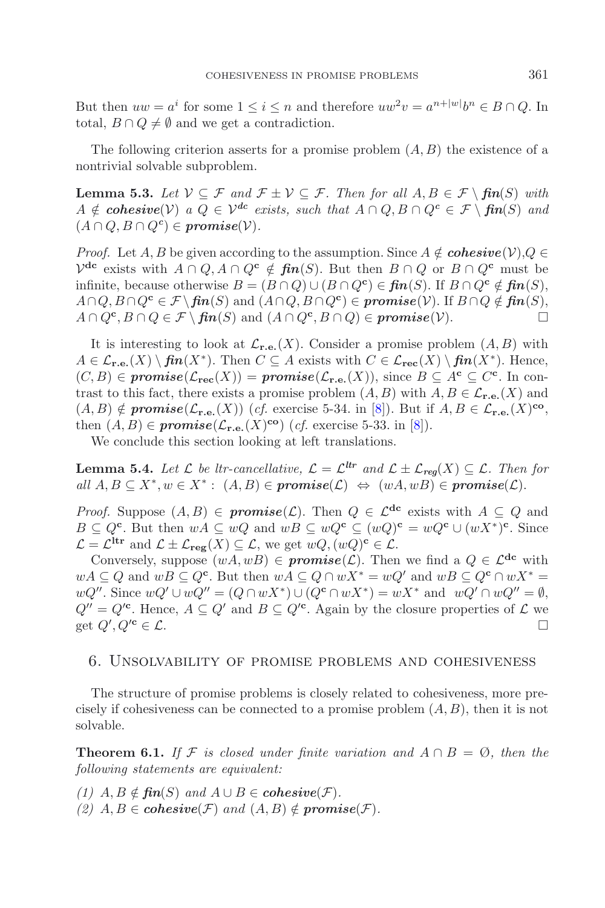But then  $uw = a^i$  for some  $1 \leq i \leq n$  and therefore  $uw^2v = a^{n+|w|}b^n \in B \cap Q$ . In total,  $B \cap Q \neq \emptyset$  and we get a contradiction.

The following criterion asserts for a promise problem  $(A, B)$  the existence of a nontrivial solvable subproblem.

**Lemma 5.3.** *Let*  $V ⊆ F$  *and*  $F ⊥ V ⊆ F$ *. Then for all*  $A, B ∈ F \setminus fin(S)$  *with*  $A \notin \mathbf{cohesive}(\mathcal{V})$  *a*  $Q \in \mathcal{V}^{dc}$  *exists, such that*  $A \cap Q, B \cap Q^c \in \mathcal{F} \setminus \mathbf{f} \mathbf{n}(S)$  *and*  $(A \cap Q, B \cap Q^c) \in \textit{promise}(\mathcal{V}).$ 

*Proof.* Let A, B be given according to the assumption. Since  $A \notin \mathbf{cohesive}(\mathcal{V})$ ,  $Q \in$  $V^{\text{dc}}$  exists with  $A \cap Q$ ,  $A \cap Q^{\text{c}} \notin \text{fin}(S)$ . But then  $B \cap Q$  or  $B \cap Q^{\text{c}}$  must be infinite, because otherwise  $B = (B \cap Q) \cup (B \cap Q^c) \in \mathbf{fin}(S)$ . If  $B \cap Q^c \notin \mathbf{fin}(S)$ ,  $A \cap Q$ ,  $B \cap Q^{\mathbf{c}} \in \mathcal{F} \setminus \mathbf{f}$ *in*(S) and  $(A \cap Q, B \cap Q^{\mathbf{c}}) \in \mathbf{promise}(\mathcal{V})$ . If  $B \cap Q \notin \mathbf{f}$ *in*(S),  $A \cap Q^{\mathbf{c}}, B \cap Q \in \mathcal{F} \setminus \mathbf{f} \mathbf{n}(S)$  and  $(A \cap Q^{\mathbf{c}}, B \cap Q) \in \mathbf{promise}(\mathcal{V}).$ 

It is interesting to look at  $\mathcal{L}_{\mathbf{r.e.}}(X)$ . Consider a promise problem  $(A, B)$  with A ∈ L**r.e.**(X) \ *fin*(X∗). Then C ⊆ A exists with C ∈ L**rec**(X) \ *fin*(X∗). Hence,  $(C, B)$  ∈ **promise**( $\mathcal{L}_{\text{rec}}(X)$ ) = **promise**( $\mathcal{L}_{\text{r.e.}}(X)$ ), since  $B \subseteq A^c \subseteq C^c$ . In contrast to this fact, there exists a promise problem  $(A, B)$  with  $A, B \in \mathcal{L}_{\mathbf{r.e.}}(X)$  and  $(A, B) \notin \textit{promise}(\mathcal{L}_{\mathbf{r.e.}}(X))$  (*cf.* exercise 5-34. in [\[8](#page-18-3)]). But if  $A, B \in \mathcal{L}_{\mathbf{r.e.}}(X)$ <sup>co</sup>, then  $(A, B) \in \text{promise}(\mathcal{L}_{\mathbf{r.e.}}(X)^{co})$  (*cf.* exercise 5-33. in [\[8](#page-18-3)]).

We conclude this section looking at left translations.

**Lemma 5.4.** *Let*  $\mathcal{L}$  *be ltr-cancellative,*  $\mathcal{L} = \mathcal{L}^{tr}$  *and*  $\mathcal{L} \pm \mathcal{L}_{req}(X) \subseteq \mathcal{L}$ *. Then for*  $all A, B \subseteq X^*, w \in X^* : (A, B) \in \textit{promise}(\mathcal{L}) \Leftrightarrow (wA, wB) \in \textit{promise}(\mathcal{L}).$ 

*Proof.* Suppose  $(A, B) \in \text{promise}(\mathcal{L})$ . Then  $Q \in \mathcal{L}^{dc}$  exists with  $A \subseteq Q$  and B ⊆ Q**<sup>c</sup>**. But then wA ⊆ wQ and wB ⊆ wQ**<sup>c</sup>** ⊆ (wQ)**<sup>c</sup>** = wQ**<sup>c</sup>** ∪ (wX∗)**<sup>c</sup>**. Since  $\mathcal{L} = \mathcal{L}^{\text{Itr}}$  and  $\mathcal{L} \pm \mathcal{L}_{\text{reg}}(X) \subseteq \mathcal{L}$ , we get  $wQ, (wQ)^{\text{c}} \in \mathcal{L}$ .

Conversely, suppose  $(wA, wB) \in \textit{promise}(\mathcal{L})$ . Then we find a  $Q \in \mathcal{L}^{dc}$  with  $wA ⊆ Q$  and  $wB ⊆ Q<sup>c</sup>$ . But then  $wA ⊆ Q ∩ wX^* = wQ'$  and  $wB ⊆ Q<sup>c</sup> ∩ wX^* =$  $wQ''$ . Since  $wQ' \cup wQ'' = (Q \cap wX^*) \cup (Q^c \cap wX^*) = wX^*$  and  $wQ' \cap wQ'' = \emptyset$ ,  $Q'' = Q'^c$ . Hence,  $A \subseteq Q'$  and  $B \subseteq Q'^c$ . Again by the closure properties of  $\mathcal L$  we get  $Q', Q'^c \in \mathcal{L}$ .

#### 6. Unsolvability of promise problems and cohesiveness

The structure of promise problems is closely related to cohesiveness, more precisely if cohesiveness can be connected to a promise problem  $(A, B)$ , then it is not solvable.

**Theorem 6.1.** If F is closed under finite variation and  $A \cap B = \emptyset$ , then the *following statements are equivalent:*

*(1)*  $A, B \notin \mathbf{fin}(S)$  *and*  $A ∪ B ∈ \mathbf{co} \mathbf{h} \mathbf{e}$ *sive*( $\mathcal{F}$ )*. (2)*  $A, B \in \mathbf{cohesive}(\mathcal{F})$  and  $(A, B) \notin \mathbf{promise}(\mathcal{F})$ .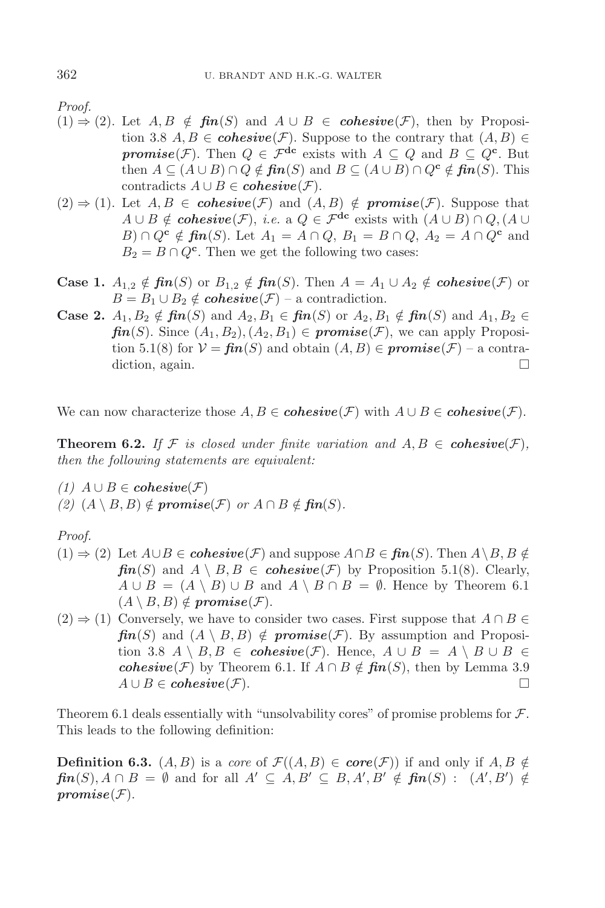*Proof.*

- $(1) \Rightarrow (2)$ . Let  $A, B \notin \textit{fin}(S)$  and  $A \cup B \in \textit{cohesive}(\mathcal{F})$ , then by Proposition 3.8  $A, B \in \mathbf{cohesive}(\mathcal{F})$ . Suppose to the contrary that  $(A, B) \in$ *promise*(*F*). Then  $Q \in \mathcal{F}^{dc}$  exists with  $A \subseteq Q$  and  $B \subseteq Q^c$ . But then  $A \subseteq (A \cup B) \cap Q \notin \mathbf{fin}(S)$  and  $B \subseteq (A \cup B) \cap Q^{\mathbf{c}} \notin \mathbf{fin}(S)$ . This contradicts  $A ∪ B ∈ \text{cohesive}(\mathcal{F}).$
- $(2) \Rightarrow (1)$ . Let  $A, B \in \mathbf{cohesive}(\mathcal{F})$  and  $(A, B) \notin \mathbf{promise}(\mathcal{F})$ . Suppose that  $A \cup B \notin \mathbf{cohesive}(\mathcal{F}), \ i.e.$  a  $Q \in \mathcal{F}^{\text{dc}}$  exists with  $(A \cup B) \cap Q, (A \cup$  $B) \cap Q^{\mathbf{c}} \notin \mathbf{fin}(S)$ . Let  $A_1 = A \cap Q$ ,  $B_1 = B \cap Q$ ,  $A_2 = A \cap Q^{\mathbf{c}}$  and  $B_2 = B \cap Q^{\mathbf{c}}$ . Then we get the following two cases:
- **Case 1.**  $A_{1,2} \notin \mathbf{fin}(S)$  or  $B_{1,2} \notin \mathbf{fin}(S)$ . Then  $A = A_1 \cup A_2 \notin \mathbf{cohesive}(\mathcal{F})$  or  $B = B_1 \cup B_2 \notin \mathbf{cohesive}(\mathcal{F})$  – a contradiction.
- **Case 2.**  $A_1, B_2 \notin \mathbf{fin}(S)$  and  $A_2, B_1 \in \mathbf{fin}(S)$  or  $A_2, B_1 \notin \mathbf{fin}(S)$  and  $A_1, B_2 \in$  $\mathbf{fin}(S)$ . Since  $(A_1, B_2), (A_2, B_1) \in \mathbf{promise}(\mathcal{F})$ , we can apply Proposition 5.1(8) for  $V = \mathbf{fin}(S)$  and obtain  $(A, B) \in \mathbf{promise}(\mathcal{F})$  – a contradiction, again.

We can now characterize those  $A, B \in \mathbf{cohesive}(\mathcal{F})$  with  $A \cup B \in \mathbf{cohesive}(\mathcal{F})$ .

**Theorem 6.2.** If F is closed under finite variation and  $A, B \in \mathbf{cohesive}(\mathcal{F})$ , *then the following statements are equivalent:*

- *(1)*  $A ∪ B ∈ \text{cohesive}(F)$
- *(2)*  $(A \setminus B, B) \notin \textit{promise(F)}$  *or*  $A ∩ B \notin \textit{fin}(S)$ .

*Proof.*

- $(1)$   $\Rightarrow$  (2) Let  $A \cup B \in \mathbf{cohesive}(\mathcal{F})$  and suppose  $A \cap B \in \mathbf{fin}(S)$ . Then  $A \setminus B, B \notin \mathbf{in}(S)$  $\mathbf{f}$ *in*(S) and  $A \setminus B$ ,  $B \in \mathbf{cohesive}(\mathcal{F})$  by Proposition 5.1(8). Clearly,  $A \cup B = (A \setminus B) \cup B$  and  $A \setminus B \cap B = \emptyset$ . Hence by Theorem 6.1  $(A \setminus B, B) \notin \textit{promise}(\mathcal{F}).$
- $(2) \Rightarrow (1)$  Conversely, we have to consider two cases. First suppose that  $A \cap B \in$  $\mathbf{f}$ *in*(S) and  $(A \setminus B, B) \notin \mathbf{promise}(\mathcal{F})$ . By assumption and Proposition 3.8  $A \setminus B$ ,  $B \in \mathbf{cohesive}(\mathcal{F})$ . Hence,  $A \cup B = A \setminus B \cup B \in$ *cohesive*( $\mathcal{F}$ ) by Theorem 6.1. If  $A \cap B \notin \mathbf{fin}(S)$ , then by Lemma 3.9  $A \cup B \in \mathbf{cohesive}(\mathcal{F}).$

Theorem 6.1 deals essentially with "unsolvability cores" of promise problems for  $\mathcal{F}$ . This leads to the following definition:

**Definition 6.3.**  $(A, B)$  is a *core* of  $\mathcal{F}((A, B) \in \mathbf{core}(\mathcal{F}))$  if and only if  $A, B \notin$  $\mathit{fin}(S), A \cap B = \emptyset$  and for all  $A' \subseteq A, B' \subseteq B, A', B' \notin \mathit{fin}(S) : (A', B') \notin$  $promise(F).$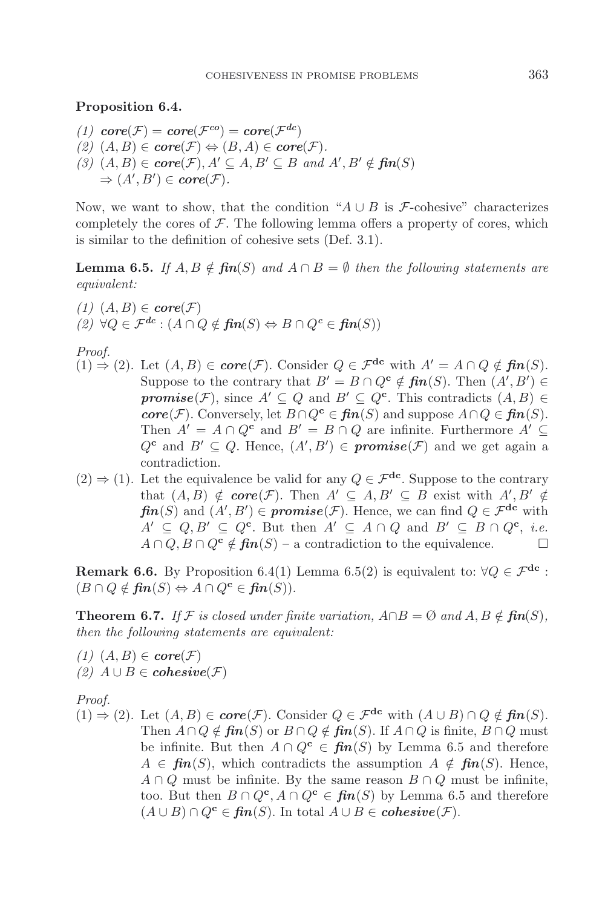#### **Proposition 6.4.**

*(1)*  $core(\mathcal{F}) = core(\mathcal{F}^{co}) = core(\mathcal{F}^{dc})$  $(2)$   $(A, B)$  ∈  $core(F)$  ⇔  $(B, A)$  ∈  $core(F)$ .  $(3)$   $(A, B) \in \text{core}(\mathcal{F}), A' \subseteq A, B' \subseteq B \text{ and } A', B' \notin \text{fin}(S)$  $\Rightarrow$   $(A', B') \in \textit{core}(\mathcal{F}).$ 

Now, we want to show, that the condition " $A \cup B$  is F-cohesive" characterizes completely the cores of  $\mathcal F$ . The following lemma offers a property of cores, which is similar to the definition of cohesive sets (Def. 3.1).

**Lemma 6.5.** *If*  $A, B \notin \mathbf{fin}(S)$  and  $A \cap B = \emptyset$  then the following statements are *equivalent:*

 $(1)$   $(A, B) \in \text{core}(\mathcal{F})$ *(2)* ∀ $Q \in \mathcal{F}^{dc}$  :  $(A \cap Q \notin \mathbf{fin}(S) \Leftrightarrow B \cap Q^c \in \mathbf{fin}(S))$ 

*Proof.*

- $(1) \Rightarrow (2)$ . Let  $(A, B) \in \text{core}(\mathcal{F})$ . Consider  $Q \in \mathcal{F}^{dc}$  with  $A' = A \cap Q \notin \text{fin}(S)$ . Suppose to the contrary that  $B' = B \cap Q^{\mathbf{c}} \notin \mathbf{fin}(S)$ . Then  $(A', B') \in$ *promise*(*F*), since  $A' \subseteq Q$  and  $B' \subseteq Q^c$ . This contradicts  $(A, B) \in$ *core*( $\mathcal{F}$ ). Conversely, let  $B \cap Q^{\mathbf{c}} \in \mathbf{fin}(S)$  and suppose  $A \cap Q \in \mathbf{fin}(S)$ . Then  $A' = A \cap Q^c$  and  $B' = B \cap Q$  are infinite. Furthermore  $A' \subset \mathbb{R}$  $Q^c$  and  $B' \subseteq Q$ . Hence,  $(A', B') \in \textit{promise}(\mathcal{F})$  and we get again a contradiction.
- $(2) \Rightarrow (1)$ . Let the equivalence be valid for any  $Q \in \mathcal{F}^{dc}$ . Suppose to the contrary that  $(A, B) \notin \mathbf{core}(\mathcal{F})$ . Then  $A' \subseteq A, B' \subseteq B$  exist with  $A', B' \notin$  $\mathbf{fin}(S)$  and  $(A', B') \in \mathbf{promise}(\mathcal{F})$ . Hence, we can find  $Q \in \mathcal{F}^{\mathbf{dc}}$  with  $A' \subseteq Q, B' \subseteq Q^c$ . But then  $A' \subseteq A \cap Q$  and  $B' \subseteq B \cap Q^c$ , *i.e.*  $A \cap Q$ ,  $B \cap Q^c \notin \mathbf{fin}(S)$  – a contradiction to the equivalence.  $\Box$

**Remark 6.6.** By Proposition 6.4(1) Lemma 6.5(2) is equivalent to:  $\forall Q \in \mathcal{F}^{dc}$ :  $(B \cap Q \notin \mathbf{fin}(S) \Leftrightarrow A \cap Q^{\mathbf{c}} \in \mathbf{fin}(S)).$ 

**Theorem 6.7.** *If*  $\mathcal{F}$  *is closed under finite variation,*  $A \cap B = \emptyset$  *and*  $A, B \notin \mathbf{fin}(S)$ *, then the following statements are equivalent:*

*(1)*  $(A, B)$  ∈ *core* $(F)$ *(2)*  $A ∪ B ∈ \text{cohesive}(F)$ 

*Proof.*

 $(1)$   $\Rightarrow$  (2). Let  $(A, B)$  ∈ *core*( $\mathcal{F}$ ). Consider  $Q \in \mathcal{F}^{dc}$  with  $(A \cup B) \cap Q \notin \mathbf{fin}(S)$ . Then  $A \cap Q \notin \mathbf{fin}(S)$  or  $B \cap Q \notin \mathbf{fin}(S)$ . If  $A \cap Q$  is finite,  $B \cap Q$  must be infinite. But then  $A \cap Q^c \in \mathbf{fin}(S)$  by Lemma 6.5 and therefore  $A \in \mathbf{fin}(S)$ , which contradicts the assumption  $A \notin \mathbf{fin}(S)$ . Hence,  $A \cap Q$  must be infinite. By the same reason  $B \cap Q$  must be infinite, too. But then  $B \cap Q^{\mathbf{c}}$ ,  $A \cap Q^{\mathbf{c}} \in \mathbf{fin}(S)$  by Lemma 6.5 and therefore  $(A \cup B) \cap Q^{\mathbf{c}} \in \mathbf{fin}(S)$ . In total  $A \cup B \in \mathbf{cohesive}(\mathcal{F})$ .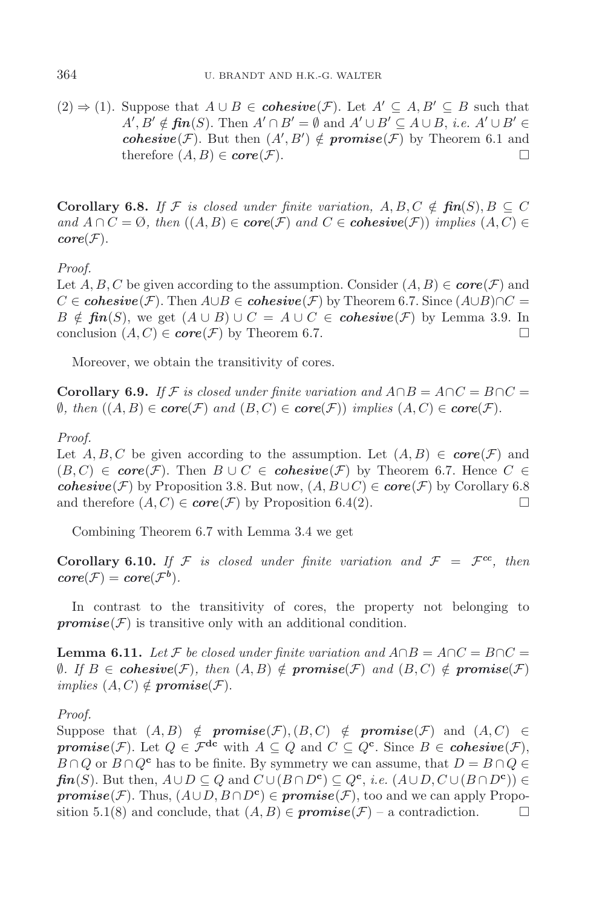$(2) \Rightarrow (1)$ . Suppose that  $A \cup B \in \mathbf{cohesive}(\mathcal{F})$ . Let  $A' \subseteq A, B' \subseteq B$  such that  $A', B' \notin \mathbf{fin}(S)$ . Then  $A' \cap B' = \emptyset$  and  $A' \cup B' \subseteq A \cup B$ , *i.e.*  $A' \cup B' \in$ *cohesive*(*F*). But then  $(A', B') \notin \text{promise}(F)$  by Theorem 6.1 and therefore  $(A, B) \in \textbf{core}(\mathcal{F})$ .

**Corollary 6.8.** *If*  $\mathcal{F}$  *is closed under finite variation,*  $A, B, C \notin \mathbf{fin}(S), B \subseteq C$ *and*  $A \cap C = \emptyset$ *, then*  $((A, B) \in \text{core}(\mathcal{F})$  and  $C \in \text{cohesive}(\mathcal{F}))$  *implies*  $(A, C) \in$  $core(\mathcal{F}).$ 

*Proof.*

Let  $A, B, C$  be given according to the assumption. Consider  $(A, B) \in \mathbf{core}(\mathcal{F})$  and  $C \in \mathbf{cohesive}(\mathcal{F})$ . Then  $A \cup B \in \mathbf{cohesive}(\mathcal{F})$  by Theorem 6.7. Since  $(A \cup B) \cap C =$  $B \notin \mathbf{fin}(S)$ , we get  $(A \cup B) \cup C = A \cup C \in \mathbf{cohesive}(\mathcal{F})$  by Lemma 3.9. In conclusion  $(A, C) \in \mathbf{core}(\mathcal{F})$  by Theorem 6.7.

Moreover, we obtain the transitivity of cores.

**Corollary 6.9.** *If*  $\mathcal{F}$  *is closed under finite variation and*  $A \cap B = A \cap C = B \cap C =$ ∅*, then* ((A, B) ∈ *core*(F) and (B, C) ∈ *core*(F)) *implies* (A, C) ∈ *core*(F).

*Proof.*

Let  $A, B, C$  be given according to the assumption. Let  $(A, B) \in \mathbf{core}(\mathcal{F})$  and  $(B, C) \in \textbf{core}(\mathcal{F})$ . Then  $B \cup C \in \textbf{cohesive}(\mathcal{F})$  by Theorem 6.7. Hence  $C \in \mathcal{F}$ *cohesive*( $\mathcal{F}$ ) by Proposition 3.8. But now,  $(A, B \cup C) \in \textbf{core}(\mathcal{F})$  by Corollary 6.8 and therefore  $(A, C) \in \mathbf{core}(\mathcal{F})$  by Proposition 6.4(2).

Combining Theorem 6.7 with Lemma 3.4 we get

**Corollary 6.10.** If F is closed under finite variation and  $\mathcal{F} = \mathcal{F}^{cc}$ , then  $core(\mathcal{F}) = core(\mathcal{F}^b)$ .

In contrast to the transitivity of cores, the property not belonging to  $promise(\mathcal{F})$  is transitive only with an additional condition.

**Lemma 6.11.** Let F be closed under finite variation and  $A \cap B = A \cap C = B \cap C =$ *Ø.* If B ∈ *cohesive*( $\mathcal{F}$ )*, then*  $(A, B) \notin \text{promise}(\mathcal{F})$  *and*  $(B, C) \notin \text{promise}(\mathcal{F})$ *implies*  $(A, C) \notin \textit{promise}(\mathcal{F})$ .

*Proof.*

Suppose that  $(A, B) \notin \textit{promise}(\mathcal{F}), (B, C) \notin \textit{promise}(\mathcal{F})$  and  $(A, C) \in$ *promise*(*F*). Let  $Q \in \mathcal{F}^{dc}$  with  $A \subseteq Q$  and  $C \subseteq Q^c$ . Since  $B \in \mathbf{cohesive}(\mathcal{F})$ ,  $B \cap Q$  or  $B \cap Q^c$  has to be finite. By symmetry we can assume, that  $D = B \cap Q \in$ *fin*(S). But then,  $A \cup D \subseteq Q$  and  $C \cup (B \cap D^c) \subseteq Q^c$ , *i.e.*  $(A \cup D, C \cup (B \cap D^c)) \in$ *promise*( $\mathcal{F}$ ). Thus,  $(A \cup D, B \cap D^c) \in \textit{promise}(\mathcal{F})$ , too and we can apply Proposition 5.1(8) and conclude, that  $(A, B) \in \textit{promise}(\mathcal{F})$  – a contradiction.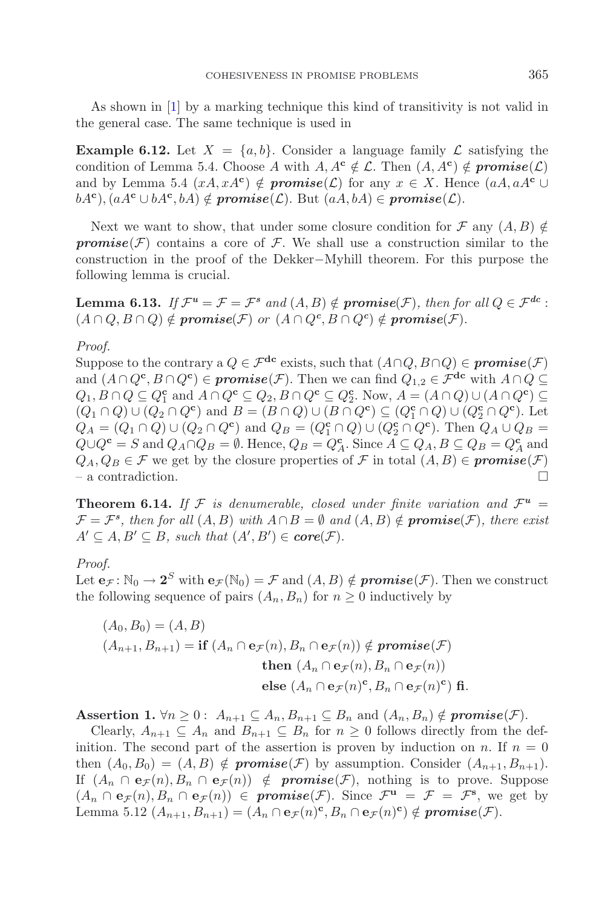As shown in [\[1\]](#page-18-8) by a marking technique this kind of transitivity is not valid in the general case. The same technique is used in

**Example 6.12.** Let  $X = \{a, b\}$ . Consider a language family  $\mathcal{L}$  satisfying the condition of Lemma 5.4. Choose A with  $A, A^c \notin \mathcal{L}$ . Then  $(A, A^c) \notin \textit{promise}(\mathcal{L})$ and by Lemma 5.4  $(xA, xA^c) \notin \textit{promise}(\mathcal{L})$  for any  $x \in X$ . Hence  $(aA, aA^c \cup$  $bA^c$ ),  $(aA^c \cup bA^c, bA) \notin \textit{promise}(\mathcal{L})$ . But  $(aA, bA) \in \textit{promise}(\mathcal{L})$ .

Next we want to show, that under some closure condition for  $\mathcal F$  any  $(A, B) \notin$ *promise*( $\mathcal{F}$ ) contains a core of  $\mathcal{F}$ . We shall use a construction similar to the construction in the proof of the Dekker−Myhill theorem. For this purpose the following lemma is crucial.

**Lemma 6.13.** *If*  $\mathcal{F}^u = \mathcal{F} = \mathcal{F}^s$  *and*  $(A, B) \notin \textbf{promise}(\mathcal{F})$ *, then for all*  $Q \in \mathcal{F}^{dc}$  :  $(A \cap Q, B \cap Q) \notin \textit{promise}(\mathcal{F}) \textit{ or } (A \cap Q^c, B \cap Q^c) \notin \textit{promise}(\mathcal{F}).$ 

#### *Proof.*

Suppose to the contrary a  $Q \in \mathcal{F}^{dc}$  exists, such that  $(A \cap Q, B \cap Q) \in \textit{promise}(\mathcal{F})$ and  $(A \cap Q^{\mathbf{c}}, B \cap Q^{\mathbf{c}}) \in \mathbf{promise}(\mathcal{F})$ . Then we can find  $Q_{1,2} \in \mathcal{F}^{\mathbf{dc}}$  with  $A \cap Q \subseteq$  $Q_1, B \cap Q \subseteq Q_1^{\mathbf{c}}$  and  $A \cap Q^{\mathbf{c}} \subseteq Q_2, B \cap Q^{\mathbf{c}} \subseteq Q_2^{\mathbf{c}}$ . Now,  $A = (A \cap Q) \cup (A \cap Q^{\mathbf{c}}) \subseteq Q_1^{\mathbf{c}}$  $(Q_1 \cap Q) \cup (Q_2 \cap Q^c)$  and  $B = (B \cap Q) \cup (B \cap Q^c) \subseteq (Q_1^c \cap Q) \cup (Q_2^c \cap Q^c)$ . Let  $Q_A = (Q_1 \cap Q) \cup (Q_2 \cap Q^c)$  and  $Q_B = (Q_1^c \cap Q) \cup (Q_2^c \cap Q^c)$ . Then  $Q_A \cup Q_B =$  $Q \cup Q^{\mathbf{c}} = S$  and  $Q_A \cap Q_B = \emptyset$ . Hence,  $Q_B = Q_A^{\mathbf{c}}$ . Since  $A \subseteq Q_A$ ,  $B \subseteq Q_B = Q_A^{\mathbf{c}}$  and  $Q_A, Q_B \in \mathcal{F}$  we get by the closure properties of  $\mathcal{F}$  in total  $(A, B) \in \textit{promise}(\mathcal{F})$  $-$  a contradiction.

**Theorem 6.14.** If F is denumerable, closed under finite variation and  $\mathcal{F}^u$  =  $\mathcal{F} = \mathcal{F}^s$ , then for all  $(A, B)$  with  $A \cap B = \emptyset$  and  $(A, B) \notin \text{promise}(\mathcal{F})$ , there exist  $A' \subseteq A, B' \subseteq B$ , such that  $(A', B') \in core(\mathcal{F})$ .

## *Proof.*

Let  $e_{\mathcal{F}}: \mathbb{N}_0 \to 2^S$  with  $e_{\mathcal{F}}(\mathbb{N}_0) = \mathcal{F}$  and  $(A, B) \notin \textit{promise}(\mathcal{F})$ . Then we construct the following sequence of pairs  $(A_n, B_n)$  for  $n \geq 0$  inductively by

$$
(A_0, B_0) = (A, B)
$$
  
\n
$$
(A_{n+1}, B_{n+1}) = \text{if } (A_n \cap \mathbf{e}_{\mathcal{F}}(n), B_n \cap \mathbf{e}_{\mathcal{F}}(n)) \notin \text{promise}(\mathcal{F})
$$
  
\nthen 
$$
(A_n \cap \mathbf{e}_{\mathcal{F}}(n), B_n \cap \mathbf{e}_{\mathcal{F}}(n))
$$
  
\nelse 
$$
(A_n \cap \mathbf{e}_{\mathcal{F}}(n)^{\mathbf{c}}, B_n \cap \mathbf{e}_{\mathcal{F}}(n)^{\mathbf{c}})
$$
 fi.

**Assertion 1.**  $\forall n \geq 0$ :  $A_{n+1} \subseteq A_n$ ,  $B_{n+1} \subseteq B_n$  and  $(A_n, B_n) \notin \textit{promise}(\mathcal{F})$ .

Clearly,  $A_{n+1} \subseteq A_n$  and  $B_{n+1} \subseteq B_n$  for  $n \geq 0$  follows directly from the definition. The second part of the assertion is proven by induction on n. If  $n = 0$ then  $(A_0, B_0)=(A, B) \notin \textit{promise}(\mathcal{F})$  by assumption. Consider  $(A_{n+1}, B_{n+1})$ . If  $(A_n \cap \mathbf{e}_{\mathcal{F}}(n), B_n \cap \mathbf{e}_{\mathcal{F}}(n)) \notin \textit{promise}(\mathcal{F})$ , nothing is to prove. Suppose  $(A_n \cap e_{\mathcal{F}}(n), B_n \cap e_{\mathcal{F}}(n)) \in \text{promise}(\mathcal{F})$ . Since  $\mathcal{F}^{\mathbf{u}} = \mathcal{F} = \mathcal{F}^{\mathbf{s}}$ , we get by Lemma 5.12  $(A_{n+1}, B_{n+1})=(A_n \cap e_{\mathcal{F}}(n)^c, B_n \cap e_{\mathcal{F}}(n)^c) \notin \textit{promise}(\mathcal{F}).$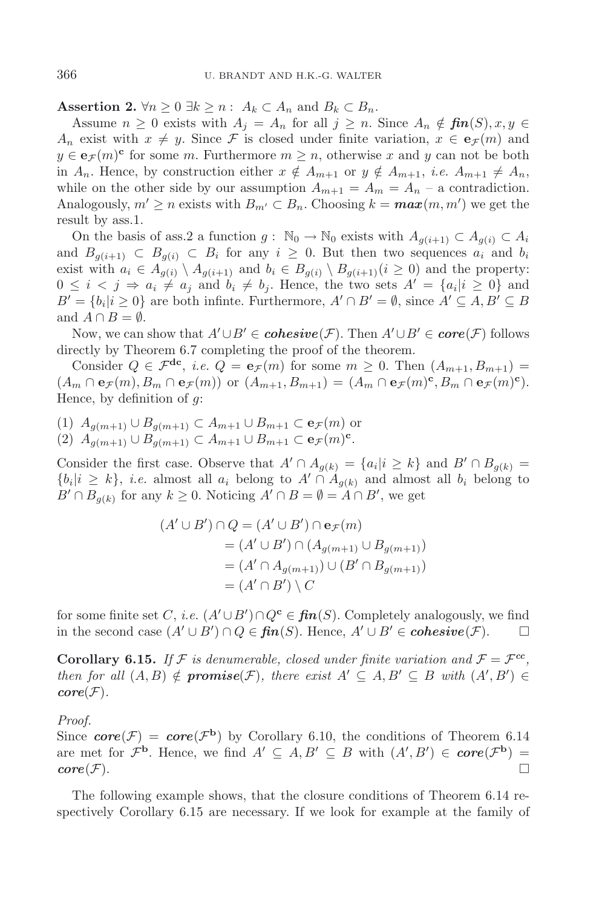**Assertion 2.**  $\forall n \geq 0 \ \exists k \geq n : A_k \subset A_n$  and  $B_k \subset B_n$ .

Assume  $n \geq 0$  exists with  $A_j = A_n$  for all  $j \geq n$ . Since  $A_n \notin \textit{fin}(S), x, y \in$ A<sub>n</sub> exist with  $x \neq y$ . Since F is closed under finite variation,  $x \in e_{\mathcal{F}}(m)$  and  $y \in \mathbf{e}_{\mathcal{F}}(m)$ <sup>c</sup> for some m. Furthermore  $m \geq n$ , otherwise x and y can not be both in  $A_n$ . Hence, by construction either  $x \notin A_{m+1}$  or  $y \notin A_{m+1}$ , *i.e.*  $A_{m+1} \neq A_n$ , while on the other side by our assumption  $A_{m+1} = A_m = A_n$  – a contradiction. Analogously,  $m' \ge n$  exists with  $B_{m'} \subset B_n$ . Choosing  $k = \max(m, m')$  we get the result by ass.1.

On the basis of ass.2 a function  $g: \mathbb{N}_0 \to \mathbb{N}_0$  exists with  $A_{q(i+1)} \subset A_{q(i)} \subset A_i$ and  $B_{g(i+1)} \subset B_{g(i)} \subset B_i$  for any  $i \geq 0$ . But then two sequences  $a_i$  and  $b_i$ exist with  $a_i \in A_{g(i)} \setminus A_{g(i+1)}$  and  $b_i \in B_{g(i)} \setminus B_{g(i+1)} (i \geq 0)$  and the property:  $0 \leq i \leq j \Rightarrow a_i \neq a_j$  and  $b_i \neq b_j$ . Hence, the two sets  $A' = \{a_i | i \geq 0\}$  and  $B' = \{b_i | i \geq 0\}$  are both infinite. Furthermore,  $A' \cap B' = \emptyset$ , since  $A' \subseteq A, B' \subseteq B$ and  $A \cap B = \emptyset$ .

Now, we can show that  $A' \cup B' \in \mathbf{cohesive}(\mathcal{F})$ . Then  $A' \cup B' \in \mathbf{core}(\mathcal{F})$  follows directly by Theorem 6.7 completing the proof of the theorem.

Consider  $Q \in \mathcal{F}^{dc}$ , *i.e.*  $Q = \mathbf{e}_{\mathcal{F}}(m)$  for some  $m \geq 0$ . Then  $(A_{m+1}, B_{m+1}) =$  $(A_m \cap \mathbf{e}_{\mathcal{F}}(m), B_m \cap \mathbf{e}_{\mathcal{F}}(m))$  or  $(A_{m+1}, B_{m+1})=(A_m \cap \mathbf{e}_{\mathcal{F}}(m)^{\mathbf{c}}, B_m \cap \mathbf{e}_{\mathcal{F}}(m)^{\mathbf{c}}).$ Hence, by definition of  $q$ :

(1)  $A_{q(m+1)} \cup B_{q(m+1)} \subset A_{m+1} \cup B_{m+1} \subset e_{\mathcal{F}}(m)$  or

(2)  $A_{g(m+1)} \cup B_{g(m+1)} \subset A_{m+1} \cup B_{m+1} \subset \mathbf{e}_{\mathcal{F}}(m)^{\mathbf{c}}.$ 

Consider the first case. Observe that  $A' \cap A_{g(k)} = \{a_i | i \geq k\}$  and  $B' \cap B_{g(k)} =$  $\{b_i|i\geq k\}, i.e.$  almost all  $a_i$  belong to  $A' \cap A_{q(k)}$  and almost all  $b_i$  belong to  $B' \cap B_{g(k)}$  for any  $k \geq 0$ . Noticing  $A' \cap B = \emptyset = A \cap B'$ , we get

$$
(A' \cup B') \cap Q = (A' \cup B') \cap e_{\mathcal{F}}(m)
$$
  
= 
$$
(A' \cup B') \cap (A_{g(m+1)} \cup B_{g(m+1)})
$$
  
= 
$$
(A' \cap A_{g(m+1)}) \cup (B' \cap B_{g(m+1)})
$$
  
= 
$$
(A' \cap B') \setminus C
$$

for some finite set C, *i.e.*  $(A' \cup B') \cap Q^c \in \mathbf{fin}(S)$ . Completely analogously, we find in the second case  $(A' \cup B') \cap Q \in \mathbf{fin}(S)$ . Hence,  $A' \cup B' \in \mathbf{cohesive}(\mathcal{F})$ .  $\Box$ 

**Corollary 6.15.** If F is denumerable, closed under finite variation and  $\mathcal{F} = \mathcal{F}^{cc}$ , *then for all*  $(A, B) \notin \textbf{promise}(\mathcal{F})$ *, there exist*  $A' \subseteq A, B' \subseteq B$  *with*  $(A', B') \in$  $core(\mathcal{F}).$ 

*Proof.*

Since  $core(\mathcal{F}) = core(\mathcal{F}^b)$  by Corollary 6.10, the conditions of Theorem 6.14 are met for  $\mathcal{F}^{\mathbf{b}}$ . Hence, we find  $A' \subseteq A, B' \subseteq B$  with  $(A', B') \in \mathbf{core}(\mathcal{F}^{\mathbf{b}}) =$  $\mathbf{core}(\mathcal{F}).$ 

The following example shows, that the closure conditions of Theorem 6.14 respectively Corollary 6.15 are necessary. If we look for example at the family of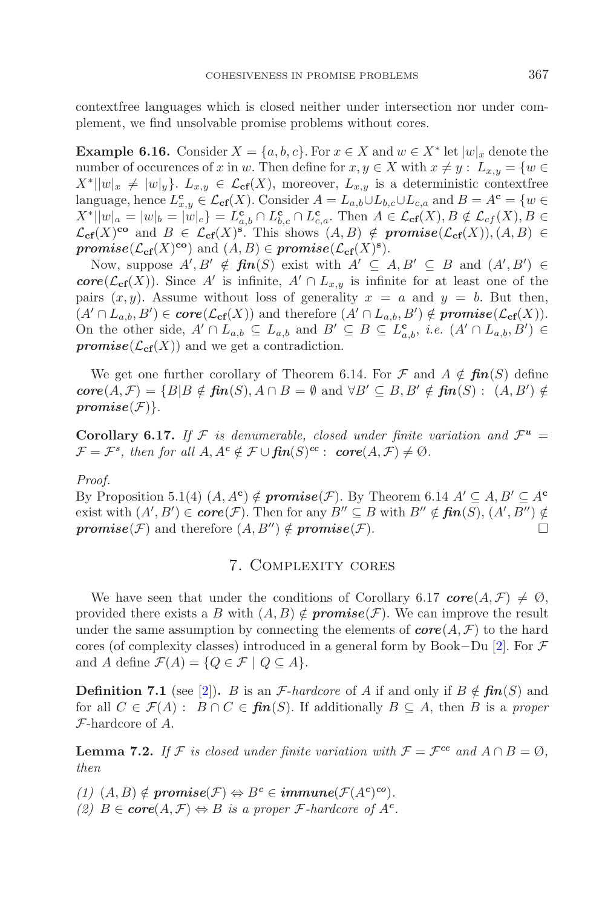contextfree languages which is closed neither under intersection nor under complement, we find unsolvable promise problems without cores.

**Example 6.16.** Consider  $X = \{a, b, c\}$ . For  $x \in X$  and  $w \in X^*$  let  $|w|_x$  denote the number of occurences of x in w. Then define for  $x, y \in X$  with  $x \neq y : L_{x,y} = \{w \in X\}$  $X^*||w|_x \neq |w|_y$ .  $L_{x,y} \in \mathcal{L}_{cf}(X)$ , moreover,  $L_{x,y}$  is a deterministic contextfree language, hence  $L_{x,y}^{\mathbf{c}} \in \mathcal{L}_{\mathbf{cf}}(X)$ . Consider  $A = L_{a,b} \cup L_{b,c} \cup L_{c,a}$  and  $B = A^{\mathbf{c}} = \{w \in$  $X^*||w|_a = |w|_b = |w|_c$   $\} = L_{a,b}^{\mathbf{c}} \cap L_{b,c}^{\mathbf{c}} \cap L_{c,a}^{\mathbf{c}}$ . Then  $A \in \mathcal{L}_{\textbf{cf}}(X), B \notin \mathcal{L}_{cf}(X), B \in$  $\mathcal{L}_{cf}(X)$ <sup>co</sup> and  $B \in \mathcal{L}_{cf}(X)$ <sup>s</sup>. This shows  $(A, B) \notin \textit{promise}(\mathcal{L}_{cf}(X)), (A, B) \in$ *promise*( $\mathcal{L}_{cf}(X)$ **co**) and  $(A, B) \in \textit{promise}(\mathcal{L}_{cf}(X)$ <sup>s</sup>).

Now, suppose  $A', B' \notin \mathbf{fin}(S)$  exist with  $A' \subseteq A, B' \subseteq B$  and  $(A', B') \in$ *core*( $\mathcal{L}_{cf}(X)$ ). Since A' is infinite, A' ∩  $L_{x,y}$  is infinite for at least one of the pairs  $(x, y)$ . Assume without loss of generality  $x = a$  and  $y = b$ . But then,  $(A' \cap L_{a,b}, B') \in \textbf{core}(\mathcal{L}_{\textbf{cf}}(X))$  and therefore  $(A' \cap L_{a,b}, B') \notin \textbf{promise}(\mathcal{L}_{\textbf{cf}}(X)).$ On the other side,  $A' \cap L_{a,b} \subseteq L_{a,b}$  and  $B' \subseteq B \subseteq L_{a,b}^{\mathbf{c}},$  *i.e.*  $(A' \cap L_{a,b}, B') \in$ *promise*( $\mathcal{L}_{cf}(X)$ ) and we get a contradiction.

We get one further corollary of Theorem 6.14. For  $\mathcal F$  and  $A \notin \mathfrak{fin}(S)$  define  $\mathbf{core}(A, \mathcal{F}) = \{B | B \notin \mathbf{fin}(S), A \cap B = \emptyset \text{ and } \forall B' \subseteq B, B' \notin \mathbf{fin}(S) : (A, B') \notin \mathbf{fin}(S) \}$  $promise(F)$ .

**Corollary 6.17.** If F is denumerable, closed under finite variation and  $\mathcal{F}^u$  =  $\mathcal{F} = \mathcal{F}^s$ , then for all  $A, A^c \notin \mathcal{F} \cup \mathbf{fin}(S)^{cc}$ :  $\mathbf{core}(A, \mathcal{F}) \neq \emptyset$ .

#### *Proof.*

By Proposition 5.1(4)  $(A, A^c) \notin \text{promise}(\mathcal{F})$ . By Theorem 6.14  $A' \subseteq A, B' \subseteq A^c$ exist with  $(A', B') \in \mathbf{core}(\mathcal{F})$ . Then for any  $B'' \subseteq B$  with  $B'' \notin \mathbf{fin}(S)$ ,  $(A', B'') \notin$ *promise*( $\mathcal{F}$ ) and therefore  $(A, B'') \notin \textit{promise}(\mathcal{F})$ .

### 7. Complexity cores

We have seen that under the conditions of Corollary 6.17  $core(A, \mathcal{F}) \neq \emptyset$ , provided there exists a B with  $(A, B) \notin \textit{promise}(\mathcal{F})$ . We can improve the result under the same assumption by connecting the elements of  $\mathbf{core}(A, \mathcal{F})$  to the hard cores (of complexity classes) introduced in a general form by Book–Du [\[2\]](#page-18-4). For  $\mathcal F$ and A define  $\mathcal{F}(A) = \{Q \in \mathcal{F} \mid Q \subseteq A\}.$ 

**Definition 7.1** (see [\[2](#page-18-4)]). B is an *F*-*hardcore* of A if and only if  $B \notin \mathbf{fin}(S)$  and for all  $C \in \mathcal{F}(A)$ :  $B \cap C \in \mathbf{fin}(S)$ . If additionally  $B \subseteq A$ , then B is a *proper* F-hardcore of A.

**Lemma 7.2.** *If*  $\mathcal{F}$  *is closed under finite variation with*  $\mathcal{F} = \mathcal{F}^{cc}$  *and*  $A \cap B = \emptyset$ *, then*

 $(1)$   $(A, B) \notin \textit{promise}(\mathcal{F}) \Leftrightarrow B^c \in \textit{immune}(\mathcal{F}(A^c)^{co}).$ *(2)*  $B \in \text{core}(A, \mathcal{F}) \Leftrightarrow B$  *is a proper*  $\mathcal{F}\text{-}hardcore$  *of*  $A^c$ *.*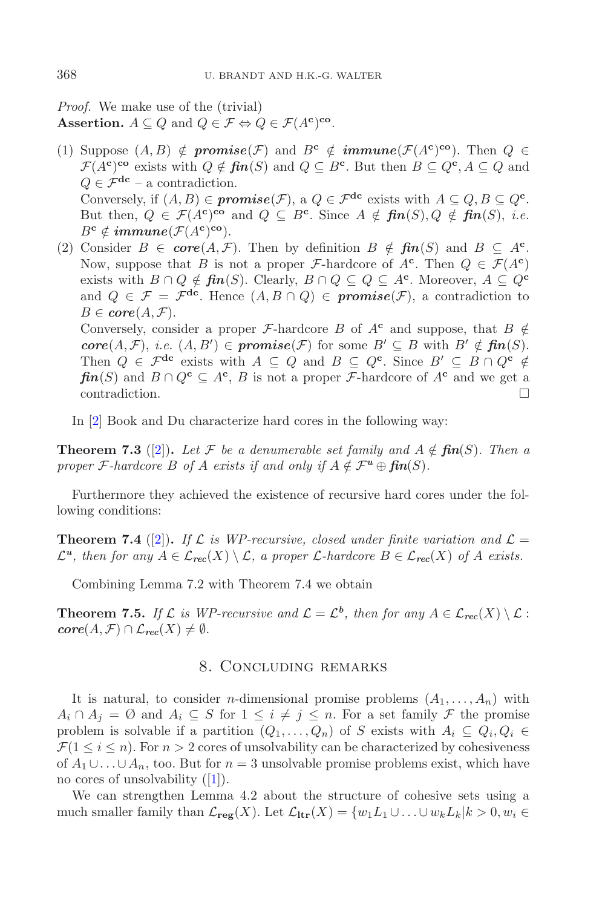*Proof.* We make use of the (trivial) **Assertion.**  $A \subseteq Q$  and  $Q \in \mathcal{F} \Leftrightarrow Q \in \mathcal{F}(A^c)$ <sup>co</sup>.

- (1) Suppose  $(A, B) \notin \textit{promise}(\mathcal{F})$  and  $B^c \notin \textit{immune}(\mathcal{F}(A^c)^{co})$ . Then  $Q \in$  $\mathcal{F}(A^c)$ <sup>co</sup> exists with  $Q \notin \mathbf{fin}(S)$  and  $Q \subseteq B^c$ . But then  $B \subseteq Q^c, A \subseteq Q$  and  $Q \in \mathcal{F}^{\text{dc}}$  – a contradiction. Conversely, if  $(A, B) \in \text{promise}(\mathcal{F})$ , a  $Q \in \mathcal{F}^{\text{dc}}$  exists with  $A \subseteq Q$ ,  $B \subseteq Q^{\text{c}}$ . But then,  $Q \in \mathcal{F}(A^c)$ <sup>co</sup> and  $Q \subseteq B^c$ . Since  $A \notin \mathbf{fin}(S), Q \notin \mathbf{fin}(S), i.e.$  $B^{\mathbf{c}} \notin \mathbf{immune}(\mathcal{F}(A^{\mathbf{c}})^{\mathbf{co}}).$
- (2) Consider  $B \in core(A, \mathcal{F})$ . Then by definition  $B \notin fin(S)$  and  $B \subseteq A^c$ . Now, suppose that B is not a proper F-hardcore of  $A^c$ . Then  $Q \in \mathcal{F}(A^c)$ exists with  $B \cap Q \notin \mathbf{fin}(S)$ . Clearly,  $B \cap Q \subseteq Q \subseteq A^c$ . Moreover,  $A \subseteq Q^c$ and  $Q \in \mathcal{F} = \mathcal{F}^{dc}$ . Hence  $(A, B \cap Q) \in \textit{promise}(\mathcal{F})$ , a contradiction to  $B \in \mathbf{core}(A, \mathcal{F}).$ Conversely, consider a proper *F*-hardcore B of  $A^c$  and suppose, that  $B \notin$  $\mathbf{core}(A, \mathcal{F}), \ i.e. \ (A, B') \in \mathbf{promise}(\mathcal{F}) \ \text{for some} \ B' \subseteq B \ \text{with} \ B' \notin \mathbf{fin}(S).$ Then  $Q \in \mathcal{F}^{dc}$  exists with  $A \subseteq Q$  and  $B \subseteq Q^c$ . Since  $B' \subseteq B \cap Q^c \notin$

*fin*(S) and  $B \cap Q^c \subseteq A^c$ , B is not a proper *F*-hardcore of  $A^c$  and we get a contradiction.

In [\[2](#page-18-4)] Book and Du characterize hard cores in the following way:

**Theorem 7.3** ([\[2](#page-18-4)]). Let F be a denumerable set family and  $A \notin \mathbf{fin}(S)$ . Then a *proper*  $\mathcal{F}$ *-hardcore*  $B$  *of*  $A$  *exists if and only if*  $A \notin \mathcal{F}^u \oplus \mathbf{fin}(S)$ *.* 

Furthermore they achieved the existence of recursive hard cores under the following conditions:

**Theorem 7.4** ([\[2](#page-18-4)]). If  $\mathcal{L}$  is WP-recursive, closed under finite variation and  $\mathcal{L} =$  $\mathcal{L}^u$ , then for any  $A \in \mathcal{L}_{rec}(X) \setminus \mathcal{L}$ , a proper  $\mathcal{L}$ -hardcore  $B \in \mathcal{L}_{rec}(X)$  of A exists.

Combining Lemma 7.2 with Theorem 7.4 we obtain

**Theorem 7.5.** *If*  $\mathcal{L}$  *is WP-recursive and*  $\mathcal{L} = \mathcal{L}^b$ *, then for any*  $A \in \mathcal{L}_{\text{rec}}(X) \setminus \mathcal{L}$ :  $\mathbf{core}(A, \mathcal{F}) \cap \mathcal{L}_{\mathbf{rec}}(X) \neq \emptyset.$ 

#### 8. Concluding remarks

It is natural, to consider *n*-dimensional promise problems  $(A_1, \ldots, A_n)$  with  $A_i \cap A_j = \emptyset$  and  $A_i \subseteq S$  for  $1 \leq i \neq j \leq n$ . For a set family  $\mathcal F$  the promise problem is solvable if a partition  $(Q_1, \ldots, Q_n)$  of S exists with  $A_i \subseteq Q_i, Q_i \in$  $\mathcal{F}(1 \leq i \leq n)$ . For  $n > 2$  cores of unsolvability can be characterized by cohesiveness of  $A_1 \cup \ldots \cup A_n$ , too. But for  $n = 3$  unsolvable promise problems exist, which have no cores of unsolvability ([\[1\]](#page-18-8)).

We can strengthen Lemma 4.2 about the structure of cohesive sets using a much smaller family than  $\mathcal{L}_{\text{reg}}(X)$ . Let  $\mathcal{L}_{\text{ltr}}(X) = \{w_1L_1 \cup \ldots \cup w_kL_k | k > 0, w_i \in$